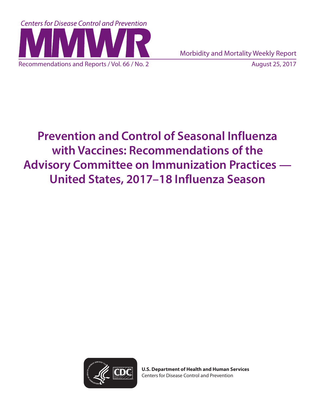

# **Prevention and Control of Seasonal Influenza with Vaccines: Recommendations of the Advisory Committee on Immunization Practices — United States, 2017–18 Influenza Season**



**U.S. Department of Health and Human Services** Centers for Disease Control and Prevention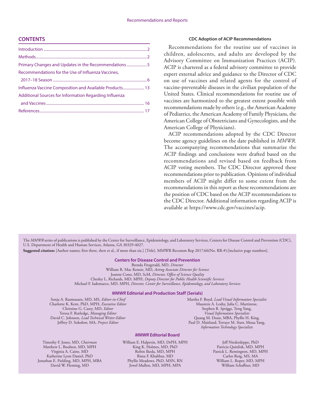### **CONTENTS**

| Primary Changes and Updates in the Recommendations 5    |  |
|---------------------------------------------------------|--|
| Recommendations for the Use of Influenza Vaccines,      |  |
|                                                         |  |
| Influenza Vaccine Composition and Available Products 13 |  |
| Additional Sources for Information Regarding Influenza  |  |
|                                                         |  |
|                                                         |  |

#### **CDC Adoption of ACIP Recommendations**

Recommendations for the routine use of vaccines in children, adolescents, and adults are developed by the Advisory Committee on Immunization Practices (ACIP). ACIP is chartered as a federal advisory committee to provide expert external advice and guidance to the Director of CDC on use of vaccines and related agents for the control of vaccine-preventable diseases in the civilian population of the United States. Clinical recommendations for routine use of vaccines are harmonized to the greatest extent possible with recommendations made by others (e.g., the American Academy of Pediatrics, the American Academy of Family Physicians, the American College of Obstetricians and Gynecologists, and the American College of Physicians).

ACIP recommendations adopted by the CDC Director become agency guidelines on the date published in *MMWR*. The accompanying recommendations that summarize the ACIP findings and conclusions were drafted based on the recommendations and revised based on feedback from ACIP voting members. The CDC Director approved these recommendations prior to publication. Opinions of individual members of ACIP might differ to some extent from the recommendations in this report as these recommendations are the position of CDC based on the ACIP recommendations to the CDC Director. Additional information regarding ACIP is available at [https://www.cdc.gov/vaccines/acip.](https://www.cdc.gov/vaccines/acip)

The *MMWR* series of publications is published by the Center for Surveillance, Epidemiology, and Laboratory Services, Centers for Disease Control and Prevention (CDC), U.S. Department of Health and Human Services, Atlanta, GA 30329-4027.

**Suggested citation:** [Author names; first three, then et al., if more than six.] [Title]. MMWR Recomm Rep 2017;66(No. RR-#):[inclusive page numbers].

#### **Centers for Disease Control and Prevention**

Brenda Fitzgerald, MD, *Director* William R. Mac Kenzie, MD, *Acting Associate Director for Science* Joanne Cono, MD, ScM, *Director, Office of Science Quality*  Chesley L. Richards, MD, MPH, *Deputy Director for Public Health Scientific Services* Michael F. Iademarco, MD, MPH, *Director, Center for Surveillance, Epidemiology, and Laboratory Services*

#### *MMWR* **Editorial and Production Staff (Serials)**

Sonja A. Rasmussen, MD, MS, *Editor-in-Chief* Charlotte K. Kent, PhD, MPH, *Executive Editor* Christine G. Casey, MD, *Editor* Teresa F. Rutledge, *Managing Editor* David C. Johnson, *Lead Technical Writer-Editor* Jeffrey D. Sokolow, MA, *Project Editor*

Martha F. Boyd, *Lead Visual Information Specialist* Maureen A. Leahy, Julia C. Martinroe, Stephen R. Spriggs, Tong Yang, *Visual Information Specialists* Quang M. Doan, MBA, Phyllis H. King, Paul D. Maitland, Terraye M. Starr, Moua Yang, *Information Technology Specialists*

#### *MMWR* **Editorial Board**

Timothy F. Jones, MD, *Chairman* Matthew L. Boulton, MD, MPH Virginia A. Caine, MD Katherine Lyon Daniel, PhD Jonathan E. Fielding, MD, MPH, MBA David W. Fleming, MD

William E. Halperin, MD, DrPH, MPH King K. Holmes, MD, PhD Robin Ikeda, MD, MPH Rima F. Khabbaz, MD Phyllis Meadows, PhD, MSN, RN Jewel Mullen, MD, MPH, MPA

Jeff Niederdeppe, PhD Patricia Quinlisk, MD, MPH Patrick L. Remington, MD, MPH Carlos Roig, MS, MA William L. Roper, MD, MPH William Schaffner, MD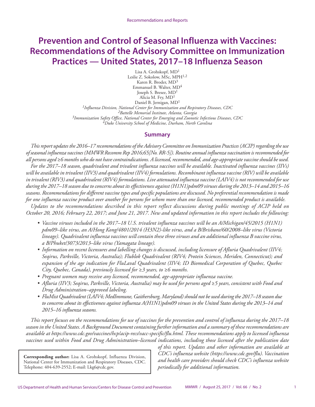## **Prevention and Control of Seasonal Influenza with Vaccines: Recommendations of the Advisory Committee on Immunization Practices — United States, 2017–18 Influenza Season**

Lisa A. Grohskopf, MD<sup>1</sup> Leslie Z. Sokolow, MSc, MPH1,2 Karen R. Broder, MD3 Emmanuel B. Walter, MD4 Joseph S. Bresee, MD<sup>1</sup> Alicia M. Fry, MD1 Daniel B. Jernigan, MD<sup>1</sup> *1Influenza Division, National Center for Immunization and Respiratory Diseases, CDC 2Battelle Memorial Institute, Atlanta, Georgia*

*3Immunization Safety Office, National Center for Emerging and Zoonotic Infectious Diseases, CDC 4Duke University School of Medicine, Durham, North Carolina*

### **Summary**

*This report updates the 2016–17 recommendations of the Advisory Committee on Immunization Practices (ACIP) regarding the use of seasonal influenza vaccines (MMWR Recomm Rep 2016;65[No. RR-5]). Routine annual influenza vaccination is recommended for all persons aged ≥6 months who do not have contraindications. A licensed, recommended, and age-appropriate vaccine should be used.*

*For the 2017–18 season, quadrivalent and trivalent influenza vaccines will be available. Inactivated influenza vaccines (IIVs) will be available in trivalent (IIV3) and quadrivalent (IIV4) formulations. Recombinant influenza vaccine (RIV) will be available in trivalent (RIV3) and quadrivalent (RIV4) formulations. Live attenuated influenza vaccine (LAIV4) is not recommended for use during the 2017–18 season due to concerns about its effectiveness against (H1N1)pdm09 viruses during the 2013–14 and 2015–16 seasons. Recommendations for different vaccine types and specific populations are discussed. No preferential recommendation is made for one influenza vaccine product over another for persons for whom more than one licensed, recommended product is available.*

*Updates to the recommendations described in this report reflect discussions during public meetings of ACIP held on October 20, 2016; February 22, 2017; and June 21, 2017. New and updated information in this report includes the following:*

- *• Vaccine viruses included in the 2017–18 U.S. trivalent influenza vaccines will be an A/Michigan/45/2015 (H1N1) pdm09–like virus, an A/Hong Kong/4801/2014 (H3N2)-like virus, and a B/Brisbane/60/2008–like virus (Victoria lineage). Quadrivalent influenza vaccines will contain these three viruses and an additional influenza B vaccine virus, a B/Phuket/3073/2013–like virus (Yamagata lineage).*
- *• Information on recent licensures and labelling changes is discussed, including licensure of Afluria Quadrivalent (IIV4; Seqirus, Parkville, Victoria, Australia); Flublok Quadrivalent (RIV4; Protein Sciences, Meriden, Connecticut); and expansion of the age indication for FluLaval Quadrivalent (IIV4; ID Biomedical Corporation of Quebec, Quebec City, Quebec, Canada), previously licensed for ≥3 years, to ≥6 months.*
- *• Pregnant women may receive any licensed, recommended, age-appropriate influenza vaccine.*
- *• Afluria (IIV3; Seqirus, Parkville, Victoria, Australia) may be used for persons aged ≥5 years, consistent with Food and Drug Administration–approved labeling.*
- *• FluMist Quadrivalent (LAIV4; MedImmune, Gaithersburg, Maryland) should not be used during the 2017–18 season due to concerns about its effectiveness against influenza A(H1N1)pdm09 viruses in the United States during the 2013–14 and 2015–16 influenza seasons.*

*This report focuses on the recommendations for use of vaccines for the prevention and control of influenza during the 2017–18 season in the United States. A Background Document containing further information and a summary of these recommendations are available at [https://www.cdc.gov/vaccines/hcp/acip-recs/vacc-specific/flu.html.](https://www.cdc.gov/vaccines/hcp/acip-recs/vacc-specific/flu.html) These recommendations apply to licensed influenza vaccines used within Food and Drug Administration–licensed indications, including those licensed after the publication date* 

**Corresponding author:** Lisa A. Grohskopf, Influenza Division, National Center for Immunization and Respiratory Diseases, CDC. Telephone: 404-639-2552; E-mail: [Lkg6@cdc.gov.](mailto:Lkg6@cdc.gov)

*of this report. Updates and other information are available at CDC's influenza website ([https://www.cdc.gov/flu\)](https://www.cdc.gov/flu). Vaccination and health care providers should check CDC's influenza website periodically for additional information.*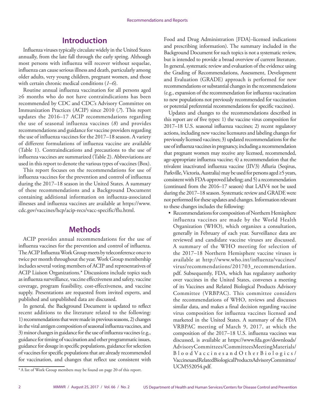## **Introduction**

<span id="page-3-0"></span>Influenza viruses typically circulate widely in the United States annually, from the late fall through the early spring. Although most persons with influenza will recover without sequelae, influenza can cause serious illness and death, particularly among older adults, very young children, pregnant women, and those with certain chronic medical conditions (*1*–*6*).

Routine annual influenza vaccination for all persons aged ≥6 months who do not have contraindications has been recommended by CDC and CDC's Advisory Committee on Immunization Practices (ACIP) since 2010 (*7*). This report updates the 2016–17 ACIP recommendations regarding the use of seasonal influenza vaccines (*8*) and provides recommendations and guidance for vaccine providers regarding the use of influenza vaccines for the 2017–18 season. A variety of different formulations of influenza vaccine are available (Table 1). Contraindications and precautions to the use of influenza vaccines are summarized (Table 2). Abbreviations are used in this report to denote the various types of vaccines (Box).

This report focuses on the recommendations for use of influenza vaccines for the prevention and control of influenza during the 2017–18 season in the United States. A summary of these recommendations and a Background Document containing additional information on influenza-associated illnesses and influenza vaccines are available at [https://www.](https://www.cdc.gov/vaccines/hcp/acip-recs/vacc-specific/flu.html) [cdc.gov/vaccines/hcp/acip-recs/vacc-specific/flu.html.](https://www.cdc.gov/vaccines/hcp/acip-recs/vacc-specific/flu.html)

## **Methods**

ACIP provides annual recommendations for the use of influenza vaccines for the prevention and control of influenza. The ACIP Influenza Work Group meets by teleconference once to twice per month throughout the year. Work Group membership includes several voting members of ACIP and representatives of ACIP Liaison Organizations.\* Discussions include topics such as influenza surveillance, vaccine effectiveness and safety, vaccine coverage, program feasibility, cost-effectiveness, and vaccine supply. Presentations are requested from invited experts, and published and unpublished data are discussed.

In general, the Background Document is updated to reflect recent additions to the literature related to the following: 1) recommendations that were made in previous seasons, 2) changes in the viral antigen composition of seasonal influenza vaccines, and 3) minor changes in guidance for the use of influenza vaccines (e.g., guidance for timing of vaccination and other programmatic issues, guidance for dosage in specific populations, guidance for selection of vaccines for specific populations that are already recommended for vaccination, and changes that reflect use consistent with

Food and Drug Administration [FDA]*–*licensed indications and prescribing information). The summary included in the Background Document for such topics is not a systematic review, but is intended to provide a broad overview of current literature. In general, systematic review and evaluation of the evidence using the Grading of Recommendations, Assessment, Development and Evaluation (GRADE) approach is performed for new recommendations or substantial changes in the recommendations (e.g., expansion of the recommendation for influenza vaccination to new populations not previously recommended for vaccination or potential preferential recommendations for specific vaccines).

Updates and changes to the recommendations described in this report are of five types: 1) the vaccine virus composition for 2017–18 U.S. seasonal influenza vaccines; 2) recent regulatory actions, including new vaccine licensures and labeling changes for previously licensed vaccines; 3) updated recommendations for the use of influenza vaccines in pregnancy, including a recommendation that pregnant women may receive any licensed, recommended, age-appropriate influenza vaccine; 4) a recommendation that the trivalent inactivated influenza vaccine (IIV3) Afluria (Seqirus, Parkville, Victoria, Australia) may be used for persons aged ≥5 years, consistent with FDA-approved labeling; and 5) a recommendation (continued from the 2016–17 season) that LAIV4 not be used during the 2017–18 season. Systematic review and GRADE were not performed for these updates and changes. Information relevant to these changes includes the following:

• Recommendations for composition of Northern Hemisphere influenza vaccines are made by the World Health Organization (WHO), which organizes a consultation, generally in February of each year. Surveillance data are reviewed and candidate vaccine viruses are discussed. A summary of the WHO meeting for selection of the 2017–18 Northern Hemisphere vaccine viruses is available at [http://www.who.int/influenza/vaccines/](http://www.who.int/influenza/vaccines/virus/recommendations/201703_recommendation.pdf) [virus/recommendations/201703\\_recommendation.](http://www.who.int/influenza/vaccines/virus/recommendations/201703_recommendation.pdf) [pdf](http://www.who.int/influenza/vaccines/virus/recommendations/201703_recommendation.pdf). Subsequently, FDA, which has regulatory authority over vaccines in the United States, convenes a meeting of its Vaccines and Related Biological Products Advisory Committee (VRBPAC). This committee considers the recommendations of WHO, reviews and discusses similar data, and makes a final decision regarding vaccine virus composition for influenza vaccines licensed and marketed in the United States. A summary of the FDA VRBPAC meeting of March 9, 2017, at which the composition of the 2017–18 U.S. influenza vaccines was discussed, is available at [https://www.fda.gov/downloads/](https://www.fda.gov/downloads/AdvisoryCommittees/CommitteesMeetingMaterials/BloodVaccinesandOtherBiologics/VaccinesandRelatedBiologicalProductsAdvisoryCommittee/UCM552054.pdf) [AdvisoryCommittees/CommitteesMeetingMaterials/](https://www.fda.gov/downloads/AdvisoryCommittees/CommitteesMeetingMaterials/BloodVaccinesandOtherBiologics/VaccinesandRelatedBiologicalProductsAdvisoryCommittee/UCM552054.pdf) [BloodVaccinesandOtherBiologics/](https://www.fda.gov/downloads/AdvisoryCommittees/CommitteesMeetingMaterials/BloodVaccinesandOtherBiologics/VaccinesandRelatedBiologicalProductsAdvisoryCommittee/UCM552054.pdf) [VaccinesandRelatedBiologicalProductsAdvisoryCommittee/](https://www.fda.gov/downloads/AdvisoryCommittees/CommitteesMeetingMaterials/BloodVaccinesandOtherBiologics/VaccinesandRelatedBiologicalProductsAdvisoryCommittee/UCM552054.pdf) [UCM552054.pdf.](https://www.fda.gov/downloads/AdvisoryCommittees/CommitteesMeetingMaterials/BloodVaccinesandOtherBiologics/VaccinesandRelatedBiologicalProductsAdvisoryCommittee/UCM552054.pdf)

<sup>\*</sup>A list of Work Group members may be found on page 20 of this report.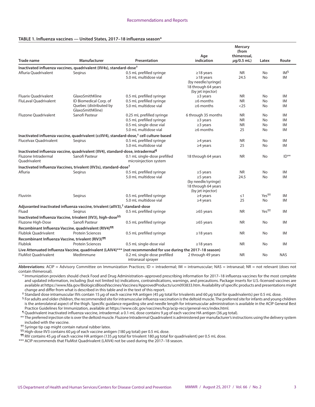| <b>Trade name</b>                                                                                    | Manufacturer                                                         | Presentation                                                                                                   | Age<br>indication                                                                                     | Mercury<br>(from<br>thimerosal,<br>$\mu$ g/0.5 mL) | Latex             | Route           |
|------------------------------------------------------------------------------------------------------|----------------------------------------------------------------------|----------------------------------------------------------------------------------------------------------------|-------------------------------------------------------------------------------------------------------|----------------------------------------------------|-------------------|-----------------|
|                                                                                                      |                                                                      |                                                                                                                |                                                                                                       |                                                    |                   |                 |
| Inactivated influenza vaccines, quadrivalent (IIV4s), standard-dose <sup>†</sup>                     |                                                                      |                                                                                                                |                                                                                                       |                                                    |                   | IM <sup>§</sup> |
| Afluria Ouadrivalent                                                                                 | Segirus                                                              | 0.5 mL prefilled syringe<br>5.0 mL multidose vial                                                              | $\geq$ 18 years<br>$\geq$ 18 years<br>(by needle/syringe)<br>18 through 64 years<br>(by jet injector) | <b>NR</b><br>24.5                                  | No<br>No          | IM              |
| <b>Fluarix Ouadrivalent</b>                                                                          | GlaxoSmithKline                                                      | 0.5 mL prefilled syringe                                                                                       | $\geq$ 3 years                                                                                        | <b>NR</b>                                          | No                | <b>IM</b>       |
| <b>FluLaval Quadrivalent</b>                                                                         | ID Biomedical Corp. of<br>Quebec (distributed by<br>GlaxoSmithKline) | 0.5 mL prefilled syringe<br>5.0 mL multidose vial                                                              | ≥6 months<br>$\geq 6$ months                                                                          | <b>NR</b><br>$<$ 25                                | No<br>No          | IM<br>IM        |
| <b>Fluzone Ouadrivalent</b>                                                                          | Sanofi Pasteur                                                       | 0.25 mL prefilled syringe                                                                                      | 6 through 35 months                                                                                   | <b>NR</b>                                          | No                | IM              |
|                                                                                                      |                                                                      | 0.5 mL prefilled syringe                                                                                       | $\geq$ 3 years                                                                                        | <b>NR</b>                                          | No                | <b>IM</b>       |
|                                                                                                      |                                                                      | 0.5 mL single-dose vial                                                                                        | $\geq$ 3 years                                                                                        | <b>NR</b>                                          | No                | IM              |
|                                                                                                      |                                                                      | 5.0 mL multidose vial                                                                                          | $\geq$ 6 months                                                                                       | 25                                                 | No                | <b>IM</b>       |
| Inactivated influenza vaccine, quadrivalent (ccllV4), standard-dose, <sup>†</sup> cell culture-based |                                                                      |                                                                                                                |                                                                                                       |                                                    |                   |                 |
| <b>Flucelvax Ouadrivalent</b>                                                                        | Segirus                                                              | 0.5 mL prefilled syringe                                                                                       | $\geq$ 4 years                                                                                        | <b>NR</b>                                          | No                | <b>IM</b>       |
|                                                                                                      |                                                                      | 5.0 mL multidose vial                                                                                          | $\geq$ 4 years                                                                                        | 25                                                 | No                | IM              |
| Inactivated influenza vaccine, quadrivalent (IIV4), standard-dose, intradermal <sup>9</sup>          |                                                                      |                                                                                                                |                                                                                                       |                                                    |                   |                 |
| Fluzone Intradermal<br>Ouadrivalent                                                                  | Sanofi Pasteur                                                       | 0.1 mL single-dose prefilled<br>microinjection system                                                          | 18 through 64 years                                                                                   | <b>NR</b>                                          | No                | $ID***$         |
| Inactivated Influenza Vaccines, trivalent (IIV3s), standard-dose <sup>†</sup>                        |                                                                      |                                                                                                                |                                                                                                       |                                                    |                   |                 |
| Afluria                                                                                              | Segirus                                                              | 0.5 mL prefilled syringe                                                                                       | $\geq$ 5 years                                                                                        | <b>NR</b>                                          | No                | IM              |
|                                                                                                      |                                                                      | 5.0 mL multidose vial                                                                                          | $\geq$ 5 years<br>(by needle/syringe)<br>18 through 64 years<br>(by jet injector)                     | 24.5                                               | No                | IM              |
| Fluvirin                                                                                             | Segirus                                                              | 0.5 mL prefilled syringe                                                                                       | $\geq$ 4 years                                                                                        | $\leq$ 1                                           | Yes <sup>tt</sup> | IM              |
|                                                                                                      |                                                                      | 5.0 mL multidose vial                                                                                          | $\geq$ 4 years                                                                                        | 25                                                 | No                | <b>IM</b>       |
| Adjuvanted inactivated influenza vaccine, trivalent (allV3), <sup>†</sup> standard-dose              |                                                                      |                                                                                                                |                                                                                                       |                                                    |                   |                 |
| Fluad                                                                                                | Segirus                                                              | 0.5 mL prefilled syringe                                                                                       | $\geq 65$ years                                                                                       | <b>NR</b>                                          | Yes <sup>tt</sup> | <b>IM</b>       |
| Inactivated Influenza Vaccine, trivalent (IIV3), high-dose <sup>§§</sup><br>Fluzone High-Dose        | Sanofi Pasteur                                                       | 0.5 mL prefilled syringe                                                                                       | $\geq 65$ years                                                                                       | <b>NR</b>                                          | No                | IM              |
| Recombinant Influenza Vaccine, quadrivalent (RIV4) <sup>11</sup>                                     |                                                                      |                                                                                                                |                                                                                                       |                                                    |                   |                 |
| <b>Flublok Quadrivalent</b>                                                                          | <b>Protein Sciences</b>                                              | 0.5 mL prefilled syringe                                                                                       | $\geq$ 18 years                                                                                       | <b>NR</b>                                          | No                | IM              |
| Recombinant Influenza Vaccine, trivalent (RIV3) <sup>919</sup><br>Flublok                            | <b>Protein Sciences</b>                                              | 0.5 mL single-dose vial                                                                                        | $\geq$ 18 years                                                                                       | <b>NR</b>                                          | No                | IM              |
|                                                                                                      |                                                                      | Live Attenuated Influenza Vaccine, quadrivalent (LAIV4)*** (not recommended for use during the 2017-18 season) |                                                                                                       |                                                    |                   |                 |
| <b>FluMist Ouadrivalent</b>                                                                          | MedImmune                                                            | 0.2 mL single-dose prefilled<br>intranasal sprayer                                                             | 2 through 49 years                                                                                    | <b>NR</b>                                          | No                | <b>NAS</b>      |

#### **TABLE 1. Influenza vaccines — United States, 2017–18 influenza season\***

**Abbreviations**: ACIP = Advisory Committee on Immunization Practices; ID = intradermal; IM = intramuscular; NAS = intranasal; NR = not relevant (does not contain thimerosal).

\* Immunization providers should check Food and Drug Administration–approved prescribing information for 2017–18 influenza vaccines for the most complete and updated information, including (but not limited to) indications, contraindications, warnings, and precautions. Package inserts for U.S.-licensed vaccines are available at<https://www.fda.gov/BiologicsBloodVaccines/Vaccines/ApprovedProducts/ucm093833.htm>. Availability of specific products and presentations might change and differ from what is described in this table and in the text of this report.

**†** Standard dose intramuscular IIVs contain 15 *μ*g of each vaccine HA antigen (45 *μ*g total for trivalents and 60 *μ*g total for quadrivalents) per 0.5 mL dose.

§ For adults and older children, the recommended site for intramuscular influenza vaccination is the deltoid muscle. The preferred site for infants and young children is the anterolateral aspect of the thigh. Specific guidance regarding site and needle length for intramuscular administration is available in the ACIP General Best<br>Practice Guidelines for Immunization, available at https:/

Il Quadrivalent inactivated influenza vaccine, intradermal: a 0.1-mL dose contains 9 ug of each vaccine HA antigen (36 ug total).

\*\* The preferred injection site is over the deltoid muscle. Fluzone Intradermal Quadrivalent is administered per manufacturer's instructions using the delivery system included with the vaccine.

**††** Syringe tip cap might contain natural rubber latex.

§§ High-dose IIV3 contains 60 *μ*g of each vaccine antigen (180 *μ*g total) per 0.5 mL dose.

¶¶ RIV contains 45 *μ*g of each vaccine HA antigen (135 *μ*g total for trivalent 180 *μ*g total for quadrivalent) per 0.5 mL dose.

\*\*\* ACIP recommends that FluMist Quadrivalent (LAIV4) not be used during the 2017–18 season.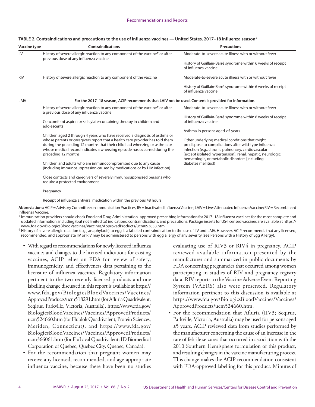| Vaccine type | <b>Contraindications</b>                                                                                                                                   | Precautions                                                                                                   |  |  |  |  |  |  |
|--------------|------------------------------------------------------------------------------------------------------------------------------------------------------------|---------------------------------------------------------------------------------------------------------------|--|--|--|--|--|--|
| IIV          | History of severe allergic reaction to any component of the vaccine <sup>†</sup> or after<br>previous dose of any influenza vaccine                        | Moderate-to-severe acute illness with or without fever                                                        |  |  |  |  |  |  |
|              |                                                                                                                                                            | History of Guillain-Barré syndrome within 6 weeks of receipt<br>of influenza vaccine                          |  |  |  |  |  |  |
| <b>RIV</b>   | History of severe allergic reaction to any component of the vaccine                                                                                        | Moderate-to-severe acute illness with or without fever                                                        |  |  |  |  |  |  |
|              |                                                                                                                                                            | History of Guillain-Barré syndrome within 6 weeks of receipt<br>of influenza vaccine                          |  |  |  |  |  |  |
| LAIV         | For the 2017-18 season, ACIP recommends that LAIV not be used. Content is provided for information.                                                        |                                                                                                               |  |  |  |  |  |  |
|              | History of severe allergic reaction to any component of the vaccine <sup>†</sup> or after<br>a previous dose of any influenza vaccine                      | Moderate-to-severe acute illness with or without fever                                                        |  |  |  |  |  |  |
|              |                                                                                                                                                            | History of Guillain-Barré syndrome within 6 weeks of receipt                                                  |  |  |  |  |  |  |
|              | Concomitant aspirin or salicylate-containing therapy in children and<br>adolescents                                                                        | of influenza vaccine                                                                                          |  |  |  |  |  |  |
|              |                                                                                                                                                            | Asthma in persons aged ≥5 years                                                                               |  |  |  |  |  |  |
|              | Children aged 2 through 4 years who have received a diagnosis of asthma or<br>whose parents or caregivers report that a health care provider has told them |                                                                                                               |  |  |  |  |  |  |
|              | during the preceding 12 months that their child had wheezing or asthma or                                                                                  | Other underlying medical conditions that might<br>predispose to complications after wild-type influenza       |  |  |  |  |  |  |
|              | whose medical record indicates a wheezing episode has occurred during the                                                                                  | infection (e.g., chronic pulmonary, cardiovascular                                                            |  |  |  |  |  |  |
|              | preceding 12 months                                                                                                                                        | [except isolated hypertension], renal, hepatic, neurologic,<br>hematologic, or metabolic disorders [including |  |  |  |  |  |  |
|              | Children and adults who are immunocompromised due to any cause<br>(including immunosuppression caused by medications or by HIV infection)                  | diabetes mellitus])                                                                                           |  |  |  |  |  |  |
|              | Close contacts and caregivers of severely immunosuppressed persons who<br>require a protected environment                                                  |                                                                                                               |  |  |  |  |  |  |
|              | Pregnancy                                                                                                                                                  |                                                                                                               |  |  |  |  |  |  |

#### **TABLE 2. Contraindications and precautions to the use of influenza vaccines — United States, 2017–18 influenza season\***

Receipt of influenza antiviral medication within the previous 48 hours

**Abbreviations:** ACIP = Advisory Committee on Immunization Practices; IIV = Inactivated Influenza Vaccine; LAIV = Live-Attenuated Influenza Vaccine; RIV = Recombinant Influenza Vaccine.

\* Immunization providers should check Food and Drug Administration–approved prescribing information for 2017–18 influenza vaccines for the most complete and updated information, including (but not limited to) indications, contraindications, and precautions. Package inserts for US-licensed vaccines are available at [https://](https://www.fda.gov/BiologicsBloodVaccines/Vaccines/ApprovedProducts/ucm093833.htm) [www.fda.gov/BiologicsBloodVaccines/Vaccines/ApprovedProducts/ucm093833.htm](https://www.fda.gov/BiologicsBloodVaccines/Vaccines/ApprovedProducts/ucm093833.htm).<br>† History of severe allergic reaction (e.g., anaphylaxis) to egg is a labeled contraindication to the use of IIV and LAIV. However, ACIP recommend

recommended, and appropriate IIV or RIV may be administered to persons with egg allergy of any severity (see Persons with a History of Egg Allergy).

- With regard to recommendations for newly licensed influenza vaccines and changes to the licensed indications for existing vaccines, ACIP relies on FDA for review of safety, immunogenicity, and effectiveness data pertaining to the licensure of influenza vaccines. Regulatory information pertinent to the two recently licensed products and one labelling change discussed in this report is available at [https://](https://www.fda.gov/BiologicsBloodVaccines/Vaccines/ApprovedProducts/ucm518291.htm) [www.fda.gov/BiologicsBloodVaccines/Vaccines/](https://www.fda.gov/BiologicsBloodVaccines/Vaccines/ApprovedProducts/ucm518291.htm) [ApprovedProducts/ucm518291.htm](https://www.fda.gov/BiologicsBloodVaccines/Vaccines/ApprovedProducts/ucm518291.htm) (for Afluria Quadrivalent; Seqirus, Parkville, Victoria, Australia), [https://www.fda.gov/](https://www.fda.gov/BiologicsBloodVaccines/Vaccines/ApprovedProducts/ucm524660.htm) [BiologicsBloodVaccines/Vaccines/ApprovedProducts/](https://www.fda.gov/BiologicsBloodVaccines/Vaccines/ApprovedProducts/ucm524660.htm) [ucm524660.htm](https://www.fda.gov/BiologicsBloodVaccines/Vaccines/ApprovedProducts/ucm524660.htm) (for Flublok Quadrivalent; Protein Sciences, Meriden, Connecticut), and [https://www.fda.gov/](https://www.fda.gov/BiologicsBloodVaccines/Vaccines/ApprovedProducts/ucm366061.htm) [BiologicsBloodVaccines/Vaccines/ApprovedProducts/](https://www.fda.gov/BiologicsBloodVaccines/Vaccines/ApprovedProducts/ucm366061.htm) [ucm366061.htm](https://www.fda.gov/BiologicsBloodVaccines/Vaccines/ApprovedProducts/ucm366061.htm) (for FluLaval Quadrivalent; ID Biomedical Corporation of Quebec, Quebec City, Quebec, Canada).
- For the recommendation that pregnant women may receive any licensed, recommended, and age-appropriate influenza vaccine, because there have been no studies

evaluating use of RIV3 or RIV4 in pregnancy, ACIP reviewed available information presented by the manufacturer and summarized in public documents by FDA concerning pregnancies that occurred among women participating in studies of RIV and pregnancy registry data. RIV reports to the Vaccine Adverse Event Reporting System (VAERS) also were presented. Regulatory information pertinent to this discussion is available at [https://www.fda.gov/BiologicsBloodVaccines/Vaccines/](https://www.fda.gov/BiologicsBloodVaccines/Vaccines/ApprovedProducts/ucm524660.htm) [ApprovedProducts/ucm524660.htm.](https://www.fda.gov/BiologicsBloodVaccines/Vaccines/ApprovedProducts/ucm524660.htm)

• For the recommendation that Afluria (IIV3; Seqirus, Parkville, Victoria, Australia) may be used for persons aged ≥5 years, ACIP reviewed data from studies performed by the manufacturer concerning the cause of an increase in the rate of febrile seizures that occurred in association with the 2010 Southern Hemisphere formulation of this product, and resulting changes in the vaccine manufacturing process. This change makes the ACIP recommendation consistent with FDA-approved labelling for this product. Minutes of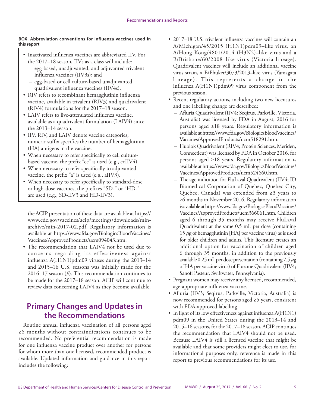### <span id="page-6-0"></span>**BOX. Abbreviation conventions for influenza vaccines used in this report**

- Inactivated influenza vaccines are abbreviated IIV. For the 2017–18 season, IIVs as a class will include:
	- egg-based, unadjuvanted, and adjuvanted trivalent influenza vaccines (IIV3s); and
	- egg-based or cell culture-based unadjuvanted quadrivalent influenza vaccines (IIV4s).
- RIV refers to recombinant hemagglutinin influenza vaccine, available in trivalent (RIV3) and quadrivalent (RIV4) formulations for the 2017–18 season.
- LAIV refers to live-attenuated influenza vaccine, available as a quadrivalent formulation (LAIV4) since the 2013–14 season.
- IIV, RIV, and LAIV denote vaccine categories; numeric suffix specifies the number of hemagglutinin (HA) antigens in the vaccine.
- When necessary to refer specifically to cell culturebased vaccine, the prefix "cc" is used (e.g., ccIIV4).
- When necessary to refer specifically to adjuvanted vaccine, the prefix "a" is used (e.g., aIIV3).
- When necessary to refer specifically to standard-dose or high-dose vaccines, the prefixes "SD-" or "HD-" are used (e.g., SD-IIV3 and HD-IIV3).

the ACIP presentation of these data are available at [https://](https://www.cdc.gov/vaccines/acip/meetings/downloads/min-archive/min-2017-02.pdf) [www.cdc.gov/vaccines/acip/meetings/downloads/min](https://www.cdc.gov/vaccines/acip/meetings/downloads/min-archive/min-2017-02.pdf)[archive/min-2017-02.pdf.](https://www.cdc.gov/vaccines/acip/meetings/downloads/min-archive/min-2017-02.pdf) Regulatory information is available at [https://www.fda.gov/BiologicsBloodVaccines/](https://www.fda.gov/BiologicsBloodVaccines/Vaccines/ApprovedProducts/ucm094043.htm) [Vaccines/ApprovedProducts/ucm094043.htm.](https://www.fda.gov/BiologicsBloodVaccines/Vaccines/ApprovedProducts/ucm094043.htm)

• The recommendation that LAIV4 not be used due to concerns regarding its effectiveness against influenza A(H1N1)pdm09 viruses during the 2013–14 and 2015–16 U.S. seasons was initially made for the 2016–17 season (*9*). This recommendation continues to be made for the 2017–18 season. ACIP will continue to review data concerning LAIV4 as they become available.

## **Primary Changes and Updates in the Recommendations**

Routine annual influenza vaccination of all persons aged ≥6 months without contraindications continues to be recommended. No preferential recommendation is made for one influenza vaccine product over another for persons for whom more than one licensed, recommended product is available. Updated information and guidance in this report includes the following:

- 2017–18 U.S. trivalent influenza vaccines will contain an A/Michigan/45/2015 (H1N1)pdm09–like virus, an A/Hong Kong/4801/2014 (H3N2)–like virus and a B/Brisbane/60/2008–like virus (Victoria lineage). Quadrivalent vaccines will include an additional vaccine virus strain, a B/Phuket/3073/2013–like virus (Yamagata lineage). This represents a change in the influenza A(H1N1)pdm09 virus component from the previous season.
- Recent regulatory actions, including two new licensures and one labelling change are described:
	- Afluria Quadrivalent (IIV4; Seqirus, Parkville, Victoria, Australia) was licensed by FDA in August, 2016 for persons aged ≥18 years. Regulatory information is available at [https://www.fda.gov/BiologicsBloodVaccines/](https://www.fda.gov/BiologicsBloodVaccines/Vaccines/ApprovedProducts/ucm518291.htm) [Vaccines/ApprovedProducts/ucm518291.htm.](https://www.fda.gov/BiologicsBloodVaccines/Vaccines/ApprovedProducts/ucm518291.htm)
	- Flublok Quadrivalent (RIV4; Protein Sciences, Meriden, Connecticut) was licensed by FDA in October 2016, for persons aged ≥18 years. Regulatory information is available at [https://www.fda.gov/BiologicsBloodVaccines/](https://www.fda.gov/BiologicsBloodVaccines/Vaccines/ApprovedProducts/ucm524660.htm) [Vaccines/ApprovedProducts/ucm524660.htm.](https://www.fda.gov/BiologicsBloodVaccines/Vaccines/ApprovedProducts/ucm524660.htm)
	- The age indication for FluLaval Quadrivalent (IIV4; ID Biomedical Corporation of Quebec, Quebec City, Quebec, Canada) was extended from ≥3 years to ≥6 months in November 2016. Regulatory information is available at [https://www.fda.gov/BiologicsBloodVaccines/](https://www.fda.gov/BiologicsBloodVaccines/Vaccines/ApprovedProducts/ucm366061.htm) [Vaccines/ApprovedProducts/ucm366061.htm.](https://www.fda.gov/BiologicsBloodVaccines/Vaccines/ApprovedProducts/ucm366061.htm) Children aged 6 through 35 months may receive FluLaval Quadrivalent at the same 0.5 mL per dose (containing 15 *µ*g of hemagglutinin [HA] per vaccine virus) as is used for older children and adults. This licensure creates an additional option for vaccination of children aged 6 through 35 months, in addition to the previously available 0.25 mL per dose presentation (containing 7.5 *µ*g of HA per vaccine virus) of Fluzone Quadrivalent (IIV4; Sanofi Pasteur, Swiftwater, Pennsylvania).
- Pregnant women may receive any licensed, recommended, age-appropriate influenza vaccine.
- Afluria (IIV3; Seqirus, Parkville, Victoria, Australia) is now recommended for persons aged ≥5 years, consistent with FDA-approved labelling.
- In light of its low effectiveness against influenza A(H1N1) pdm09 in the United States during the 2013–14 and 2015–16 seasons, for the 2017–18 season, ACIP continues the recommendation that LAIV4 should not be used. Because LAIV4 is still a licensed vaccine that might be available and that some providers might elect to use, for informational purposes only, reference is made in this report to previous recommendations for its use.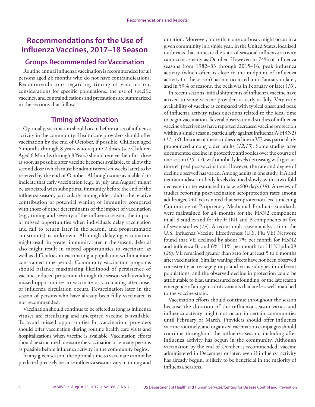## <span id="page-7-0"></span>**Recommendations for the Use of Influenza Vaccines, 2017–18 Season**

## **Groups Recommended for Vaccination**

Routine annual influenza vaccination is recommended for all persons aged ≥6 months who do not have contraindications. Recommendations regarding timing of vaccination, considerations for specific populations, the use of specific vaccines, and contraindications and precautions are summarized in the sections that follow.

### **Timing of Vaccination**

Optimally, vaccination should occur before onset of influenza activity in the community. Health care providers should offer vaccination by the end of October, if possible. Children aged 6 months through 8 years who require 2 doses (see Children Aged 6 Months through 8 Years) should receive their first dose as soon as possible after vaccine becomes available, to allow the second dose (which must be administered ≥4 weeks later) to be received by the end of October. Although some available data indicate that early vaccination (e.g., in July and August) might be associated with suboptimal immunity before the end of the influenza season, particularly among older adults, the relative contribution of potential waning of immunity compared with those of other determinants of the impact of vaccination (e.g., timing and severity of the influenza season, the impact of missed opportunities when individuals delay vaccination and fail to return later in the season, and programmatic constraints) is unknown. Although delaying vaccination might result in greater immunity later in the season, deferral also might result in missed opportunities to vaccinate, as well as difficulties in vaccinating a population within a more constrained time period. Community vaccination programs should balance maximizing likelihood of persistence of vaccine-induced protection through the season with avoiding missed opportunities to vaccinate or vaccinating after onset of influenza circulation occurs. Revaccination later in the season of persons who have already been fully vaccinated is not recommended.

Vaccination should continue to be offered as long as influenza viruses are circulating and unexpired vaccine is available. To avoid missed opportunities for vaccination, providers should offer vaccination during routine health care visits and hospitalizations when vaccine is available. Vaccination efforts should be structured to ensure the vaccination of as many persons as possible before influenza activity in the community begins.

In any given season, the optimal time to vaccinate cannot be predicted precisely because influenza seasons vary in timing and duration. Moreover, more than one outbreak might occur in a given community in a single year. In the United States, localized outbreaks that indicate the start of seasonal influenza activity can occur as early as October. However, in 74% of influenza seasons from 1982–83 through 2015–16, peak influenza activity (which often is close to the midpoint of influenza activity for the season) has not occurred until January or later, and in 59% of seasons, the peak was in February or later (*10*).

In recent seasons, initial shipments of influenza vaccine have arrived to some vaccine providers as early as July. Very early availability of vaccine as compared with typical onset and peak of influenza activity raises questions related to the ideal time to begin vaccination. Several observational studies of influenza vaccine effectiveness have reported decreased vaccine protection within a single season, particularly against influenza A(H3N2) (*11*–*14*). In some of these studies decline in VE was particularly pronounced among older adults (*12*,*13*). Some studies have documented decline in protective antibodies over the course of one season (*15*–*17*), with antibody levels decreasing with greater time elapsed postvaccination. However, the rate and degree of decline observed has varied. Among adults in one study, HA and neuraminidase antibody levels declined slowly, with a two-fold decrease in titer estimated to take >600 days (*18*). A review of studies reporting postvaccination seroprotection rates among adults aged ≥60 years noted that seroprotection levels meeting Committee of Proprietary Medicinal Products standards were maintained for ≥4 months for the H3N2 component in all 8 studies and for the H1N1 and B components in five of seven studies (*19*). A recent multiseason analysis from the U.S. Influenza Vaccine Effectiveness (U.S. Flu VE) Network found that VE declined by about 7% per month for H3N2 and influenza B, and 6%–11% per month for H1N1pdm09 (*20*). VE remained greater than zero for at least 5 to 6 months after vaccination. Similar waning effects have not been observed consistently across age groups and virus subtypes in different populations, and the observed decline in protection could be attributable to bias, unmeasured confounding, or the late season emergence of antigenic drift variants that are less well-matched to the vaccine strain.

Vaccination efforts should continue throughout the season because the duration of the influenza season varies and influenza activity might not occur in certain communities until February or March. Providers should offer influenza vaccine routinely, and organized vaccination campaigns should continue throughout the influenza season, including after influenza activity has begun in the community. Although vaccination by the end of October is recommended, vaccine administered in December or later, even if influenza activity has already begun, is likely to be beneficial in the majority of influenza seasons.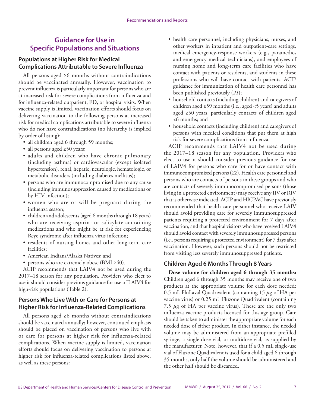## **Guidance for Use in Specific Populations and Situations**

## **Populations at Higher Risk for Medical Complications Attributable to Severe Influenza**

All persons aged ≥6 months without contraindications should be vaccinated annually. However, vaccination to prevent influenza is particularly important for persons who are at increased risk for severe complications from influenza and for influenza-related outpatient, ED, or hospital visits. When vaccine supply is limited, vaccination efforts should focus on delivering vaccination to the following persons at increased risk for medical complications attributable to severe influenza who do not have contraindications (no hierarchy is implied by order of listing):

- all children aged 6 through 59 months;
- all persons aged ≥50 years;
- adults and children who have chronic pulmonary (including asthma) or cardiovascular (except isolated hypertension), renal, hepatic, neurologic, hematologic, or metabolic disorders (including diabetes mellitus);
- persons who are immunocompromised due to any cause (including immunosuppression caused by medications or by HIV infection);
- women who are or will be pregnant during the influenza season;
- children and adolescents (aged 6 months through 18 years) who are receiving aspirin- or salicylate-containing medications and who might be at risk for experiencing Reye syndrome after influenza virus infection;
- residents of nursing homes and other long-term care facilities;
- American Indians/Alaska Natives; and
- persons who are extremely obese (BMI ≥40).

ACIP recommends that LAIV4 not be used during the 2017–18 season for any population. Providers who elect to use it should consider previous guidance for use of LAIV4 for high-risk populations (Table 2).

## **Persons Who Live With or Care for Persons at Higher Risk for Influenza-Related Complications**

All persons aged  $≥6$  months without contraindications should be vaccinated annually; however, continued emphasis should be placed on vaccination of persons who live with or care for persons at higher risk for influenza-related complications. When vaccine supply is limited, vaccination efforts should focus on delivering vaccination to persons at higher risk for influenza-related complications listed above, as well as these persons:

- health care personnel, including physicians, nurses, and other workers in inpatient and outpatient-care settings, medical emergency-response workers (e.g., paramedics and emergency medical technicians), and employees of nursing home and long-term care facilities who have contact with patients or residents, and students in these professions who will have contact with patients. ACIP guidance for immunization of health care personnel has been published previously (*21*);
- household contacts (including children) and caregivers of children aged  $\leq$ 59 months (i.e., aged  $\lt$ 5 years) and adults aged ≥50 years, particularly contacts of children aged <6 months; and
- household contacts (including children) and caregivers of persons with medical conditions that put them at high risk for severe complications from influenza.

ACIP recommends that LAIV4 not be used during the 2017–18 season for any population. Providers who elect to use it should consider previous guidance for use of LAIV4 for persons who care for or have contact with immunocompromised persons (*22*). Health care personnel and persons who are contacts of persons in these groups and who are contacts of severely immunocompromised persons (those living in a protected environment) may receive any IIV or RIV that is otherwise indicated. ACIP and HICPAC have previously recommended that health care personnel who receive LAIV should avoid providing care for severely immunosuppressed patients requiring a protected environment for 7 days after vaccination, and that hospital visitors who have received LAIV4 should avoid contact with severely immunosuppressed persons (i.e., persons requiring a protected environment) for 7 days after vaccination. However, such persons should not be restricted from visiting less severely immunosuppressed patients.

## **Children Aged 6 Months Through 8 Years**

**Dose volume for children aged 6 through 35 months:** Children aged 6 through 35 months may receive one of two products at the appropriate volume for each dose needed: 0.5 mL FluLaval Quadrivalent (containing 15 *µ*g of HA per vaccine virus) or 0.25 mL Fluzone Quadrivalent (containing 7.5 *µ*g of HA per vaccine virus). These are the only two influenza vaccine products licensed for this age group. Care should be taken to administer the appropriate volume for each needed dose of either product. In either instance, the needed volume may be administered from an appropriate prefilled syringe, a single dose vial, or multidose vial, as supplied by the manufacturer. Note, however, that if a 0.5 mL single-use vial of Fluzone Quadivalent is used for a child aged 6 through 35 months, only half the volume should be administered and the other half should be discarded.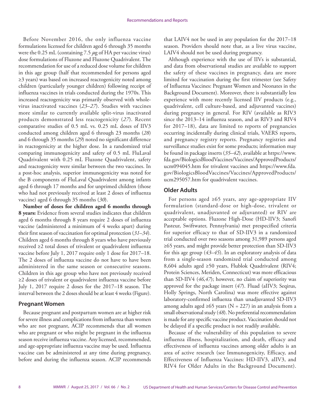Before November 2016, the only influenza vaccine formulations licensed for children aged 6 through 35 months were the 0.25 mL (containing 7.5 *µ*g of HA per vaccine virus) dose formulations of Fluzone and Fluzone Quadrivalent. The recommendation for use of a reduced dose volume for children in this age group (half that recommended for persons aged ≥3 years) was based on increased reactogenicity noted among children (particularly younger children) following receipt of influenza vaccines in trials conducted during the 1970s. This increased reactogenicity was primarily observed with wholevirus inactivated vaccines (*23*–*27*). Studies with vaccines more similar to currently available split-virus inactivated products demonstrated less reactogenicity (*27*). Recent comparative studies of 0.5 mL vs. 0.25 mL doses of IIV3 conducted among children aged 6 through 23 months (*28*) and 6 through 35 months (*29*) noted no significant difference in reactogenicity at the higher dose. In a randomized trial comparing immunogenicity and safety of 0.5 mL FluLaval Quadrivalent with 0.25 mL Fluzone Quadrivalent, safety and reactogenicity were similar between the two vaccines. In a post-hoc analysis, superior immunogenicity was noted for the B components of FluLaval Quadrivalent among infants aged 6 through 17 months and for unprimed children (those who had not previously received at least 2 doses of influenza vaccine) aged 6 through 35 months (*30*).

**Number of doses for children aged 6 months through 8 years:** Evidence from several studies indicates that children aged 6 months through 8 years require 2 doses of influenza vaccine (administered a minimum of 4 weeks apart) during their first season of vaccination for optimal protection (*31*–*34*). Children aged 6 months through 8 years who have previously received ≥2 total doses of trivalent or quadrivalent influenza vaccine before July 1, 2017 require only 1 dose for 2017–18. The 2 doses of influenza vaccine do not have to have been administered in the same season or consecutive seasons. Children in this age group who have not previously received ≥2 doses of trivalent or quadrivalent influenza vaccine before July 1, 2017 require 2 doses for the 2017–18 season. The interval between the 2 doses should be at least 4 weeks ([Figure](#page-10-0)).

### **Pregnant Women**

Because pregnant and postpartum women are at higher risk for severe illness and complications from influenza than women who are not pregnant, ACIP recommends that all women who are pregnant or who might be pregnant in the influenza season receive influenza vaccine. Any licensed, recommended, and age-appropriate influenza vaccine may be used. Influenza vaccine can be administered at any time during pregnancy, before and during the influenza season. ACIP recommends

that LAIV4 not be used in any population for the 2017–18 season. Providers should note that, as a live virus vaccine, LAIV4 should not be used during pregnancy.

Although experience with the use of IIVs is substantial, and data from observational studies are available to support the safety of these vaccines in pregnancy, data are more limited for vaccination during the first trimester (see Safety of Influenza Vaccines: Pregnant Women and Neonates in the Background Document). Moreover, there is substantially less experience with more recently licensed IIV products (e.g., quadrivalent, cell culture-based, and adjuvanted vaccines) during pregnancy in general. For RIV (available as RIV3 since the 2013–14 influenza season, and as RIV3 and RIV4 for 2017–18), data are limited to reports of pregnancies occurring incidentally during clinical trials, VAERS reports, and pregnancy registry reports. Pregnancy registries and surveillance studies exist for some products; information may be found in package inserts (*35*–*42*), available at [https://www.](https://www.fda.gov/BiologicsBloodVaccines/Vaccines/ApprovedProducts/ucm094045.htm) [fda.gov/BiologicsBloodVaccines/Vaccines/ApprovedProducts/](https://www.fda.gov/BiologicsBloodVaccines/Vaccines/ApprovedProducts/ucm094045.htm) [ucm094045.htm](https://www.fda.gov/BiologicsBloodVaccines/Vaccines/ApprovedProducts/ucm094045.htm) for trivalent vaccines and [https://www.fda.](https://www.fda.gov/BiologicsBloodVaccines/Vaccines/ApprovedProducts/ucm295057.htm) [gov/BiologicsBloodVaccines/Vaccines/ApprovedProducts/](https://www.fda.gov/BiologicsBloodVaccines/Vaccines/ApprovedProducts/ucm295057.htm) [ucm295057.htm](https://www.fda.gov/BiologicsBloodVaccines/Vaccines/ApprovedProducts/ucm295057.htm) for quadrivalent vaccines.

### **Older Adults**

For persons aged  $\geq 65$  years, any age-appropriate IIV formulation (standard-dose or high-dose, trivalent or quadrivalent, unadjuvanted or adjuvanted) or RIV are acceptable options. Fluzone High-Dose (HD-IIV3; Sanofi Pasteur, Swiftwater, Pennsylvania) met prespecified criteria for superior efficacy to that of SD-IIV3 in a randomized trial conducted over two seasons among 31,989 persons aged ≥65 years, and might provide better protection than SD-IIV3 for this age group (*43*–*45*). In an exploratory analysis of data from a single-season randomized trial conducted among 8,604 adults aged ≥50 years, Flublok Quadrivalent (RIV4; Protein Sciences, Meriden, Connecticut) was more efficacious than SD-IIV4 (*46*,*47*); however, no claim of superiority was approved for the package insert (*47*). Fluad (aIIV3; Seqirus, Holly Springs, North Carolina) was more effective against laboratory-confirmed influenza than unadjuvanted SD-IIV3 among adults aged ≥65 years ( $N = 227$ ) in an analysis from a small observational study (*48*). No preferential recommendation is made for any specific vaccine product. Vaccination should not be delayed if a specific product is not readily available.

Because of the vulnerability of this population to severe influenza illness, hospitalization, and death, efficacy and effectiveness of influenza vaccines among older adults is an area of active research (see Immunogenicity, Efficacy, and Effectiveness of Influenza Vaccines: HD-IIV3, aIIV3, and RIV4 for Older Adults in the Background Document).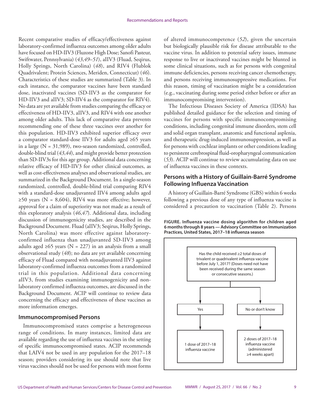Recent comparative studies of efficacy/effectiveness against laboratory-confirmed influenza outcomes among older adults have focused on HD-IIV3 (Fluzone High Dose; Sanofi Pasteur, Swiftwater, Pennsylvania) (*43*,*49*–*51*), aIIV3 (Fluad, Seqirus, Holly Springs, North Carolina) (*48*), and RIV4 (Flublok Quadrivalent; Protein Sciences, Meriden, Connecticut) (*46*). Characteristics of these studies are summarized (Table 3). In each instance, the comparator vaccines have been standard dose, inactivated vaccines (SD-IIV3 as the comparator for HD-IIV3 and aIIV3; SD-IIV4 as the comparator for RIV4). No data are yet available from studies comparing the efficacy or effectiveness of HD-IIV3, aIIV3, and RIV4 with one another among older adults. This lack of comparative data prevents recommending one of these three vaccines over another for this population. HD-IIV3 exhibited superior efficacy over a comparator standard-dose IIV3 for adults aged ≥65 years in a large (N = 31,989), two-season randomized, controlled, double-blind trial (*43*,*44*), and might provide better protection than SD-IIV3s for this age group. Additional data concerning relative efficacy of HD-IIV3 for other clinical outcomes, as well as cost-effectiveness analyses and observational studies, are summarized in the Background Document. In a single-season randomized, controlled, double-blind trial comparing RIV4 with a standard-dose unadjuvanted IIV4 among adults aged ≥50 years ( $N = 8,604$ ), RIV4 was more effective; however, approval for a claim of superiority was not made as a result of this exploratory analysis (*46*,*47*). Additional data, including discussion of immunogenicity studies, are described in the Background Document. Fluad (aIIV3; Seqirus, Holly Springs, North Carolina) was more effective against laboratoryconfirmed influenza than unadjuvanted SD-IIV3 among adults aged  $\geq 65$  years (N = 227) in an analysis from a small observational study (*48*); no data are yet available concerning efficacy of Fluad compared with nonadjuvanted IIV3 against laboratory-confirmed influenza outcomes from a randomized trial in this population. Additional data concerning aIIV3, from studies examining immunogenicity and nonlaboratory confirmed influenza outcomes, are discussed in the Background Document. ACIP will continue to review data concerning the efficacy and effectiveness of these vaccines as more information emerges.

#### **Immunocompromised Persons**

Immunocompromised states comprise a heterogeneous range of conditions. In many instances, limited data are available regarding the use of influenza vaccines in the setting of specific immunocompromised states. ACIP recommends that LAIV4 not be used in any population for the 2017–18 season; providers considering its use should note that live virus vaccines should not be used for persons with most forms

of altered immunocompetence (*52*), given the uncertain but biologically plausible risk for disease attributable to the vaccine virus. In addition to potential safety issues, immune response to live or inactivated vaccines might be blunted in some clinical situations, such as for persons with congenital immune deficiencies, persons receiving cancer chemotherapy, and persons receiving immunosuppressive medications. For this reason, timing of vaccination might be a consideration (e.g., vaccinating during some period either before or after an immunocompromising intervention).

The Infectious Diseases Society of America (IDSA) has published detailed guidance for the selection and timing of vaccines for persons with specific immunocompromising conditions, including congenital immune disorders, stem cell and solid organ transplant, anatomic and functional asplenia, and therapeutic drug-induced immunosuppression, as well as for persons with cochlear implants or other conditions leading to persistent cerebrospinal fluid-oropharyngeal communication (*53*). ACIP will continue to review accumulating data on use of influenza vaccines in these contexts.

### **Persons with a History of Guillain-Barré Syndrome Following Influenza Vaccination**

A history of Guillain-Barré Syndrome (GBS) within 6 weeks following a previous dose of any type of influenza vaccine is considered a precaution to vaccination (Table 2). Persons

<span id="page-10-0"></span>**FIGURE. Influenza vaccine dosing algorithm for children aged 6 months through 8 years — Advisory Committee on Immunization Practices, United States, 2017–18 influenza season**

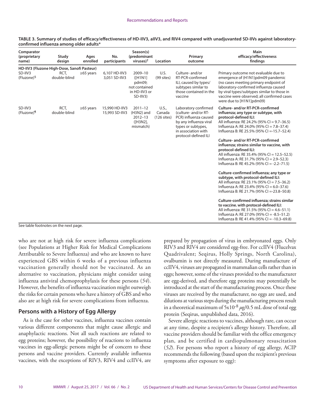**TABLE 3. Summary of studies of efficacy/effectiveness of HD-IIV3, aIIV3, and RIV4 compared with unadjuvanted SD-IIVs against laboratoryconfirmed influenza among older adults\***

| Comparator<br>(proprietary<br>name)                                     | Study<br>design      | Ages<br>enrolled | No.<br>participants              | Season(s)<br>(predominant<br>viruses) $†$                                     | Location                         | Primary<br>outcome                                                                                                                                                   | <b>Main</b><br>efficacy/effectiveness<br>findings                                                                                                                                                                                                                                                                                                                                                                                                                                                                                                                                                                                                                                                                                                                                                                                                                                                                                                                                    |
|-------------------------------------------------------------------------|----------------------|------------------|----------------------------------|-------------------------------------------------------------------------------|----------------------------------|----------------------------------------------------------------------------------------------------------------------------------------------------------------------|--------------------------------------------------------------------------------------------------------------------------------------------------------------------------------------------------------------------------------------------------------------------------------------------------------------------------------------------------------------------------------------------------------------------------------------------------------------------------------------------------------------------------------------------------------------------------------------------------------------------------------------------------------------------------------------------------------------------------------------------------------------------------------------------------------------------------------------------------------------------------------------------------------------------------------------------------------------------------------------|
| HD-IIV3 (Fluzone High-Dose, Sanofi Pasteur)<br>SD-IIV3<br>(Fluzone) $§$ | RCT.<br>double-blind | $\geq 65$ years  | 6,107 HD-IIV3<br>3,051 SD-IIV3   | 2009-10<br>$($ [H1N1]<br>pdm09;<br>not contained<br>in HD-IIV3 or<br>SD-IIV3) | U.S.<br>$(99$ sites)             | Culture-and/or<br>RT-PCR-confirmed<br>ILI, caused by types/<br>subtypes similar to<br>those contained in the<br>vaccine                                              | Primary outcome not evaluable due to<br>emergence of (H1N1)pdm09 pandemic<br>(no cases meeting primary endpoint of<br>laboratory-confirmed influenza caused<br>by viral types/subtypes similar to those in<br>vaccine were observed; all confirmed cases<br>were due to [H1N1]pdm09)                                                                                                                                                                                                                                                                                                                                                                                                                                                                                                                                                                                                                                                                                                 |
| SD-IIV3<br>(Fluzone) <sup>¶</sup>                                       | RCT,<br>double-blind | $\geq 65$ years  | 15,990 HD-IIV3<br>15,993 SD-IIV3 | $2011 - 12$<br>(H3N2) and<br>$2012 - 13$<br>([H3N2],<br>mismatch)             | U.S.,<br>Canada<br>$(126$ sites) | Laboratory confirmed<br>(culture- and/or RT-<br>PCR) influenza caused<br>by any influenza viral<br>types or subtypes,<br>in association with<br>protocol-defined ILI | <b>Culture- and/or RT-PCR-confirmed</b><br>influenza; any type or subtype, with<br>protocol-defined ILI:<br>All influenza: RE 24.2% (95% CI = 9.7-36.5)<br>Influenza A: RE 24.0% (95% CI = 7.8-37.4)<br>Influenza B: RE 25.5% (95% CI = - 15.7 - 52.4)<br>Culture- and/or RT-PCR-confirmed<br>influenza; strains similar to vaccine, with<br>protocol-defined ILI:<br>All influenza: RE 35.4% (95% CI = 12.5-52.5)<br>Influenza A: RE 31.7% (95% CI = 2.9-52.3)<br>Influenza B: RE 45.2% (95% CI = -2.2-71.5)<br>Culture-confirmed influenza; any type or<br>subtype, with protocol-defined ILI:<br>All influenza: RE 23.1% (95% CI = 7.5-36.2)<br>Influenza A: RE 23.4% (95% CI = 6.0-37.6)<br>Influenza B: RE 21.7% (95% CI = - 23.8 - 50.8)<br>Culture-confirmed influenza; strains similar<br>to vaccine. with protocol-defined ILI:<br>All influenza: RE 31.5% (95% CI = 4.6-51.1)<br>Influenza A: RE 27.0% (95% CI = -8.5-51.2)<br>Influenza B: RE 41.4% (95% CI = -10.3-69.8) |

See table footnotes on the next page.

who are not at high risk for severe influenza complications (see Populations at Higher Risk for Medical Complications Attributable to Severe Influenza) and who are known to have experienced GBS within 6 weeks of a previous influenza vaccination generally should not be vaccinated. As an alternative to vaccination, physicians might consider using influenza antiviral chemoprophylaxis for these persons (*54*). However, the benefits of influenza vaccination might outweigh the risks for certain persons who have a history of GBS and who also are at high risk for severe complications from influenza.

### **Persons with a History of Egg Allergy**

As is the case for other vaccines, influenza vaccines contain various different components that might cause allergic and anaphylactic reactions. Not all such reactions are related to egg proteins; however, the possibility of reactions to influenza vaccines in egg-allergic persons might be of concern to these persons and vaccine providers. Currently available influenza vaccines, with the exceptions of RIV3, RIV4 and ccIIV4, are prepared by propagation of virus in embryonated eggs. Only RIV3 and RIV4 are considered egg-free. For ccIIV4 (Flucelvax Quadrivalent; Seqirus, Holly Springs, North Carolina), ovalbumin is not directly measured. During manufacture of ccIIV4, viruses are propagated in mammalian cells rather than in eggs; however, some of the viruses provided to the manufacturer are egg-derived, and therefore egg proteins may potentially be introduced at the start of the manufacturing process. Once these viruses are received by the manufacturer, no eggs are used, and dilutions at various steps during the manufacturing process result in a theoretical maximum of 5x10-8 *µ*g/0.5 mL dose of total egg protein (Seqirus, unpublished data, 2016).

Severe allergic reactions to vaccines, although rare, can occur at any time, despite a recipient's allergy history. Therefore, all vaccine providers should be familiar with the office emergency plan, and be certified in cardiopulmonary resuscitation (*52*). For persons who report a history of egg allergy, ACIP recommends the following (based upon the recipient's previous symptoms after exposure to egg):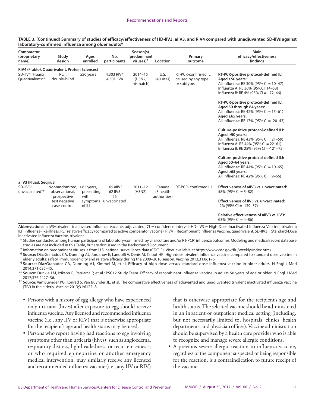#### **TABLE 3. (Continued) Summary of studies of efficacy/effectiveness of HD-IIV3, aIIV3, and RIV4 compared with unadjuvanted SD-IIVs against laboratory-confirmed influenza among older adults\***

| Comparator<br>(proprietary<br>name)           | Study<br>design                                                                             | Ages<br>enrolled             | No.<br>participants                                  | Season(s)<br>(predominant<br>viruses) $†$ | Location                            | Primary<br>outcome                                        | Main<br>efficacy/effectiveness<br>findings                                                                                                                                                     |
|-----------------------------------------------|---------------------------------------------------------------------------------------------|------------------------------|------------------------------------------------------|-------------------------------------------|-------------------------------------|-----------------------------------------------------------|------------------------------------------------------------------------------------------------------------------------------------------------------------------------------------------------|
| RIV4 (Flublok Quadrivalent, Protein Sciences) |                                                                                             |                              |                                                      |                                           |                                     |                                                           |                                                                                                                                                                                                |
| SD-IIV4 (Fluarix<br>Quadrivalent)**           | RCT,<br>double-blind                                                                        | $\geq$ 50 years              | 4,303 RIV4<br>4,301 IIV4                             | $2014 - 15$<br>(H3N2,<br>mismatch)        | U.S.<br>$(40$ sites)                | RT-PCR-confirmed ILI<br>caused by any type<br>or subtype. | RT-PCR-positive protocol-defined ILI;<br>Aged $\geq$ 50 years:<br>All influenza: RE 30% (95% CI = 10-47)<br>Influenza A: RE 36% (95%CI: 14-53)<br>Influenza B: RE 4% (95% CI =: -72-46)        |
|                                               |                                                                                             |                              |                                                      |                                           |                                     |                                                           | RT-PCR-positive protocol-defined ILI;<br>Aged 50 through 64 years:<br>All influenza: RE 42% (95% CI = 15-61)<br>Aged $\geq 65$ years:<br>All influenza: RE 17% (95% CI = -20-43)               |
|                                               |                                                                                             |                              |                                                      |                                           |                                     |                                                           | Culture-positive protocol-defined ILI:<br>Aged $\geq 50$ years:<br>All influenza: RE 43% (95% CI = 21-59)<br>Influenza A: RE 44% (95% CI = 22-61)<br>Influenza B: RE 25% (95% CI = - 121 - 75) |
|                                               |                                                                                             |                              |                                                      |                                           |                                     |                                                           | Culture-positive protocol-defined ILI:<br>Aged 50-64 years:<br>All influenza: RE 44% (95% CI = 10-65)<br>Aged $\geq 65$ years:<br>All influenza: RE 42% (95% CI = 9-65)                        |
| allV3 (Fluad, Segirus)                        |                                                                                             |                              |                                                      |                                           |                                     |                                                           |                                                                                                                                                                                                |
| SD-IIV3;<br>unvaccinated <sup>††</sup>        | Nonrandomized, ≥65 years,<br>observational,<br>prospective<br>test negative<br>case-control | presenting<br>with<br>of ILI | 165 all V3<br>62 IIV3<br>55<br>symptoms unvaccinated | $2011 - 12$<br>(H3N2)                     | Canada<br>(3 health<br>authorities) | RT-PCR-confirmed ILI                                      | Effectiveness of allV3 vs. unvaccinated:<br>58% (95% CI = $5-82$ )                                                                                                                             |
|                                               |                                                                                             |                              |                                                      |                                           |                                     |                                                           | Effectiveness of IIV3 vs. unvaccinated:<br>$-2\%$ (95% CI = $-139-57$ )                                                                                                                        |
|                                               |                                                                                             |                              |                                                      |                                           |                                     |                                                           | Relative effectiveness of allV3 vs. IIV3:<br>63% (95% CI = 4-86)                                                                                                                               |

**Abbreviations:** aIIV3=trivalent inactivated influenza vaccine, adjuvanted; CI = confidence interval; HD-IIV3 = High-Dose Inactivated Influenza Vaccine, trivalent; ILI=influenza-like illness; RE=relative efficacy (compared to active comparator vaccine); RIV4 = Recombinant Influenza Vaccine, quadrivalent; SD-IIV3 = Standard-Dose Inactivated Influenza Vaccine, trivalent.

\* Studies conducted among human participants of laboratory-confirmed (by viral culture and/or RT-PCR) influenza outcomes. Modeling and medical record database studies are not included in this Table, but are discussed in the Background Document.

† Information on predominant viruses is from U.S. national surveillance data (CDC, FluView, available at <https://www.cdc.gov/flu/weekly/index.htm>).

§ **Source:** DiazGranados CA, Dunning AJ, Jordanov E, Landolfi V, Denis M, Talbot HK. High-dose trivalent influenza vaccine compared to standard dose vaccine in elderly adults: safety, immunogenicity and relative efficacy during the 2009–2010 season. Vaccine 2013;31:861–6.

¶ **Source:** DiazGranados CA, Dunning AJ, Kimmel M, et al. Efficacy of high-dose versus standard-dose influenza vaccine in older adults. N Engl J Med 2014;371:635–45.

\*\* **Source:** Dunkle LM, Izikson R, Patriarca P, et al.; PSC12 Study Team. Efficacy of recombinant influenza vaccine in adults 50 years of age or older. N Engl J Med 2017;376:2427–36.

†† **Source:** Van Buynder PG, Konrad S, Van Buynder JL, et al. The comparative effectiveness of adjuvanted and unadjuvanted trivalent inactivated influenza vaccine (TIV) in the elderly. Vaccine 2013;31:6122–8.

- Persons with a history of egg allergy who have experienced only urticaria (hives) after exposure to egg should receive influenza vaccine. Any licensed and recommended influenza vaccine (i.e., any IIV or RIV) that is otherwise appropriate for the recipient's age and health status may be used.
- Persons who report having had reactions to egg involving symptoms other than urticaria (hives), such as angioedema, respiratory distress, lightheadedness, or recurrent emesis; or who required epinephrine or another emergency medical intervention, may similarly receive any licensed and recommended influenza vaccine (i.e., any IIV or RIV)

that is otherwise appropriate for the recipient's age and health status. The selected vaccine should be administered in an inpatient or outpatient medical setting (including, but not necessarily limited to, hospitals, clinics, health departments, and physician offices). Vaccine administration should be supervised by a health care provider who is able to recognize and manage severe allergic conditions.

• A previous severe allergic reaction to influenza vaccine, regardless of the component suspected of being responsible for the reaction, is a contraindication to future receipt of the vaccine.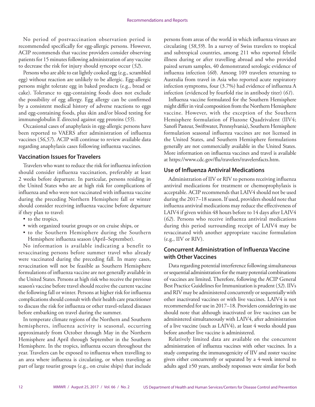No period of postvaccination observation period is recommended specifically for egg-allergic persons. However, ACIP recommends that vaccine providers consider observing patients for 15 minutes following administration of any vaccine to decrease the risk for injury should syncope occur (*52*).

Persons who are able to eat lightly cooked egg (e.g., scrambled egg) without reaction are unlikely to be allergic. Egg-allergic persons might tolerate egg in baked products (e.g., bread or cake). Tolerance to egg-containing foods does not exclude the possibility of egg allergy. Egg allergy can be confirmed by a consistent medical history of adverse reactions to eggs and egg-containing foods, plus skin and/or blood testing for immunoglobulin E directed against egg proteins (*55*).

Occasional cases of anaphylaxis in egg-allergic persons have been reported to VAERS after administration of influenza vaccines (*56*,*57*). ACIP will continue to review available data regarding anaphylaxis cases following influenza vaccines.

### **Vaccination Issues for Travelers**

Travelers who want to reduce the risk for influenza infection should consider influenza vaccination, preferably at least 2 weeks before departure. In particular, persons residing in the United States who are at high risk for complications of influenza and who were not vaccinated with influenza vaccine during the preceding Northern Hemisphere fall or winter should consider receiving influenza vaccine before departure if they plan to travel:

- to the tropics,
- with organized tourist groups or on cruise ships, or
- to the Southern Hemisphere during the Southern Hemisphere influenza season (April–September).

No information is available indicating a benefit to revaccinating persons before summer travel who already were vaccinated during the preceding fall. In many cases, revaccination will not be feasible as Southern Hemisphere formulations of influenza vaccine are not generally available in the United States. Persons at high risk who receive the previous season's vaccine before travel should receive the current vaccine the following fall or winter. Persons at higher risk for influenza complications should consult with their health care practitioner to discuss the risk for influenza or other travel-related diseases before embarking on travel during the summer.

In temperate climate regions of the Northern and Southern hemispheres, influenza activity is seasonal, occurring approximately from October through May in the Northern Hemisphere and April through September in the Southern Hemisphere. In the tropics, influenza occurs throughout the year. Travelers can be exposed to influenza when travelling to an area where influenza is circulating, or when traveling as part of large tourist groups (e.g., on cruise ships) that include

persons from areas of the world in which influenza viruses are circulating (*58*,*59*). In a survey of Swiss travelers to tropical and subtropical countries, among 211 who reported febrile illness during or after travelling abroad and who provided paired serum samples, 40 demonstrated serologic evidence of influenza infection (*60*). Among 109 travelers returning to Australia from travel in Asia who reported acute respiratory infection symptoms, four (3.7%) had evidence of influenza A infection (evidenced by fourfold rise in antibody titer) (*61*).

Influenza vaccine formulated for the Southern Hemisphere might differ in viral composition from the Northern Hemisphere vaccine. However, with the exception of the Southern Hemisphere formulation of Fluzone Quadrivalent (IIV4; Sanofi Pasteur, Swiftwater, Pennsylvania), Southern Hemisphere formulation seasonal influenza vaccines are not licensed in the United States, and Southern Hemisphere formulations generally are not commercially available in the United States. More information on influenza vaccines and travel is available at [https://www.cdc.gov/flu/travelers/travelersfacts.htm.](https://www.cdc.gov/flu/travelers/travelersfacts.htm)

### **Use of Influenza Antiviral Medications**

Administration of IIV or RIV to persons receiving influenza antiviral medications for treatment or chemoprophylaxis is acceptable. ACIP recommends that LAIV4 should not be used during the 2017–18 season. If used, providers should note that influenza antiviral medications may reduce the effectiveness of LAIV4 if given within 48 hours before to 14 days after LAIV4 (*62*). Persons who receive influenza antiviral medications during this period surrounding receipt of LAIV4 may be revaccinated with another appropriate vaccine formulation (e.g., IIV or RIV).

### **Concurrent Administration of Influenza Vaccine with Other Vaccines**

Data regarding potential interference following simultaneous or sequential administration for the many potential combinations of vaccines are limited. Therefore, following the ACIP General Best Practice Guidelines for Immunization is prudent (*52*). IIVs and RIV may be administered concurrently or sequentially with other inactivated vaccines or with live vaccines. LAIV4 is not recommended for use in 2017–18. Providers considering its use should note that although inactivated or live vaccines can be administered simultaneously with LAIV4, after administration of a live vaccine (such as LAIV4), at least 4 weeks should pass before another live vaccine is administered.

Relatively limited data are available on the concurrent administration of influenza vaccines with other vaccines. In a study comparing the immunogenicity of IIV and zoster vaccine given either concurrently or separated by a 4-week interval to adults aged ≥50 years, antibody responses were similar for both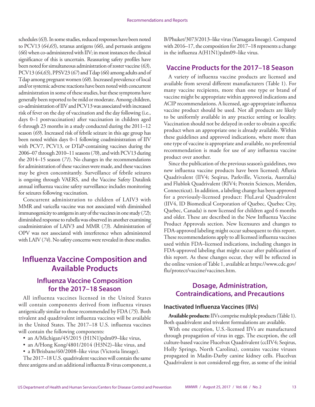<span id="page-14-0"></span>schedules (*63*). In some studies, reduced responses have been noted to PCV13 (*64*,*65*), tetanus antigens (*66*), and pertussis antigens (*66*) when co-administered with IIV; in most instances the clinical significance of this is uncertain. Reassuring safety profiles have been noted for simultaneous administration of zoster vaccine (*63*), PCV13 (*64*,*65*), PPSV23 (*67*) and Tdap (*66*) among adults and of Tdap among pregnant women (*68*). Increased prevalence of local and/or systemic adverse reactions have been noted with concurrent administration in some of these studies, but these symptoms have generally been reported to be mild or moderate. Among children, co-administration of IIV and PCV13 was associated with increased risk of fever on the day of vaccination and the day following (i.e., days 0–1 postvaccination) after vaccination in children aged 6 through 23 months in a study conducted during the 2011–12 season (*69*). Increased risk of febrile seizure in this age group has been noted within days 0–1 following coadministration of IIV with PCV7, PCV13, or DTaP-containing vaccines during the 2006–07 through 2010–11 seasons (*70*), and with PCV13 during the 2014–15 season (*71*). No changes in the recommendations for administration of these vaccines were made, and these vaccines may be given concomitantly. Surveillance of febrile seizures is ongoing through VAERS, and the Vaccine Safety Datalink annual influenza vaccine safety surveillance includes monitoring for seizures following vaccination.

Concurrent administration to children of LAIV3 with MMR and varicella vaccine was not associated with diminished immunogenicity to antigens in any of the vaccines in one study (*72*); diminished response to rubella was observed in another examining coadministraion of LAIV3 and MMR (*73*). Administration of OPV was not associated with interference when administered with LAIV (*74*). No safety concerns were revealed in these studies.

## **Influenza Vaccine Composition and Available Products**

## **Influenza Vaccine Composition for the 2017–18 Season**

All influenza vaccines licensed in the United States will contain components derived from influenza viruses antigenically similar to those recommended by FDA (*75*). Both trivalent and quadrivalent influenza vaccines will be available in the United States. The 2017–18 U.S. influenza vaccines will contain the following components:

- an A/Michigan/45/2015 (H1N1)pdm09-like virus,
- an A/Hong Kong/4801/2014 (H3N2)–like virus, and
- a B/Brisbane/60/2008–like virus (Victoria lineage).

The 2017–18 U.S. quadrivalent vaccines will contain the same three antigens and an additional influenza B virus component, a B/Phuket/3073/2013–like virus (Yamagata lineage). Compared with 2016–17, the composition for 2017–18 represents a change in the influenza A(H1N1)pdm09–like virus.

### **Vaccine Products for the 2017–18 Season**

A variety of influenza vaccine products are licensed and available from several different manufacturers (Table 1). For many vaccine recipients, more than one type or brand of vaccine might be appropriate within approved indications and ACIP recommendations. A licensed, age-appropriate influenza vaccine product should be used. Not all products are likely to be uniformly available in any practice setting or locality. Vaccination should not be delayed in order to obtain a specific product when an appropriate one is already available. Within these guidelines and approved indications, where more than one type of vaccine is appropriate and available, no preferential recommendation is made for use of any influenza vaccine product over another.

Since the publication of the previous season's guidelines, two new influenza vaccine products have been licensed; Afluria Quadrivalent (IIV4; Seqirus, Parkville, Victoria, Australia) and Flublok Quadrivalent (RIV4; Protein Sciences, Meriden, Connecticut). In addition, a labeling change has been approved for a previously-licensed product: FluLaval Quadrivalent (IIV4, ID Biomedical Corporation of Quebec, Quebec City, Quebec, Canada) is now licensed for children aged 6 months and older. These are described in the New Influenza Vaccine Product Approvals section. New licensures and changes to FDA-approved labeling might occur subsequent to this report. These recommendations apply to all licensed influenza vaccines used within FDA–licensed indications, including changes in FDA-approved labeling that might occur after publication of this report. As these changes occur, they will be reflected in the online version of Table 1, available at [https://www.cdc.gov/](https://www.cdc.gov/flu/protect/vaccine/vaccines.htm) [flu/protect/vaccine/vaccines.htm.](https://www.cdc.gov/flu/protect/vaccine/vaccines.htm)

## **Dosage, Administration, Contraindications, and Precautions**

### **Inactivated Influenza Vaccines (IIVs)**

**Available products:** IIVs comprise multiple products (Table 1). Both quadrivalent and trivalent formulations are available.

With one exception, U.S.-licensed IIVs are manufactured through propagation of virus in eggs. The exception, the cell culture-based vaccine Flucelvax Quadrivalent (ccIIV4; Seqirus, Holly Springs, North Carolina), contains vaccine viruses propagated in Madin-Darby canine kidney cells. Flucelvax Quadrivalent is not considered egg-free, as some of the initial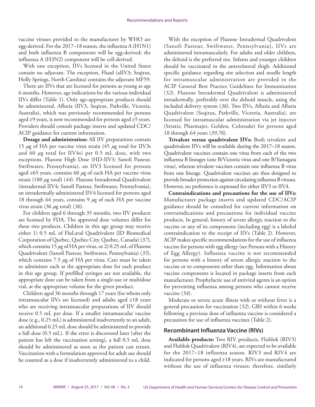vaccine viruses provided to the manufacturer by WHO are egg-derived. For the 2017–18 season, the influenza A (H1N1) and both influenza B components will be egg-derived; the influenza A (H3N2) component will be cell-derived.

With one exception, IIVs licensed in the United States contain no adjuvant. The exception, Fluad (aIIV3; Seqirus, Holly Springs, North Carolina) contains the adjuvant MF59.

There are IIVs that are licensed for persons as young as age 6 months. However, age indications for the various individual IIVs differ (Table 1). Only age-appropriate products should be administered. Afluria (IIV3, Seqirus, Parkville, Victoria, Australia), which was previously recommended for persons aged ≥9 years, is now recommended for persons aged ≥5 years. Providers should consult package inserts and updated CDC/ ACIP guidance for current information.

**Dosage and administration:** All IIV preparations contain 15 *µ*g of HA per vaccine virus strain (45 *µ*g total for IIV3s and 60  $\mu$ g total for IIV4s) per 0.5 mL dose, with two exceptions. Fluzone High Dose (HD-IIV3; Sanofi Pasteur, Swiftwater, Pennsylvania), an IIV3 licensed for persons aged ≥65 years, contains 60 *µ*g of each HA per vaccine virus strain (180 *µ*g total) (*44*). Fluzone Intradermal Quadrivalent (intradermal IIV4; Sanofi Pasteur, Swiftwater, Pennsylvania), an intradermally administered IIV4 licensed for persons aged 18 through 64 years, contains 9 *µ*g of each HA per vaccine virus strain (36 *µ*g total) (*36*).

For children aged 6 through 35 months, two IIV products are licensed by FDA. The approved dose volumes differ for these two products. Children in this age group may receive either 1) 0.5 mL of FluLaval Quadrivalent (ID Biomedical Corporation of Quebec, Quebec City, Quebec, Canada) (*37*), which contains 15 *µ*g of HA per virus, or 2) 0.25 mL of Fluzone Quadrivalent (Sanofi Pasteur, Swiftwater, Pennsylvania) (*35*), which contains 7.5 *µ*g of HA per virus. Care must be taken to administer each at the appropriate dose for each product in this age group. If prefilled syringes are not available, the appropriate dose can be taken from a single-use or multidose vial, at the appropriate volume for the given product.

Children aged 36 months through 17 years (for whom only intramuscular IIVs are licensed) and adults aged ≥18 years who are receiving intramuscular preparations of IIV should receive 0.5 mL per dose. If a smaller intramuscular vaccine dose (e.g., 0.25 mL) is administered inadvertently to an adult, an additional 0.25 mL dose should be administered to provide a full dose (0.5 mL). If the error is discovered later (after the patient has left the vaccination setting), a full 0.5 mL dose should be administered as soon as the patient can return. Vaccination with a formulation approved for adult use should be counted as a dose if inadvertently administered to a child.

With the exception of Fluzone Intradermal Quadrivalent (Sanofi Pasteur, Swiftwater, Pennsylvania), IIVs are administered intramuscularly. For adults and older children, the deltoid is the preferred site. Infants and younger children should be vaccinated in the anterolateral thigh. Additional specific guidance regarding site selection and needle length for intramuscular administration are provided in the ACIP General Best Practice Guidelines for Immunization (*52*). Fluzone Intradermal Quadrivalent is administered intradermally, preferably over the deltoid muscle, using the included delivery system (*36*). Two IIVs, Afluria and Afluria Quadrivalent (Seqirus, Parkville, Victoria, Australia), are licensed for intramuscular administration via jet injector (Stratis; Pharmajet, Golden, Colorado) for persons aged 18 through 64 years (*39*,*76*).

**Trivalent versus quadrivalent IIVs:** Both trivalent and quadrivalent IIVs will be available during the 2017–18 season. Quadrivalent vaccines contain one virus from each of the two influenza B lineages (one B/Victoria virus and one B/Yamagata virus), whereas trivalent vaccines contain one influenza B virus from one lineage. Quadrivalent vaccines are thus designed to provide broader protection against circulating influenza B viruses. However, no preference is expressed for either IIV3 or IIV4.

**Contraindications and precautions for the use of IIVs:** Manufacturer package inserts and updated CDC/ACIP guidance should be consulted for current information on contraindications and precautions for individual vaccine products. In general, history of severe allergic reaction to the vaccine or any of its components (including egg) is a labeled contraindication to the receipt of IIVs (Table 2). However, ACIP makes specific recommendations for the use of influenza vaccine for persons with egg allergy (see Persons with a History of Egg Allergy). Influenza vaccine is not recommended for persons with a history of severe allergic reaction to the vaccine or to components other than egg. Information about vaccine components is located in package inserts from each manufacturer. Prophylactic use of antiviral agents is an option for preventing influenza among persons who cannot receive vaccine (*54*).

Moderate or severe acute illness with or without fever is a general precaution for vaccination (*52*). GBS within 6 weeks following a previous dose of influenza vaccine is considered a precaution for use of influenza vaccines (Table 2).

### **Recombinant Influenza Vaccine (RIVs)**

**Available products:** Two RIV products, Flublok (RIV3) and Flublok Quadrivalent (RIV4), are expected to be available for the 2017–18 influenza season. RIV3 and RIV4 are indicated for persons aged ≥18 years. RIVs are manufactured without the use of influenza viruses; therefore, similarly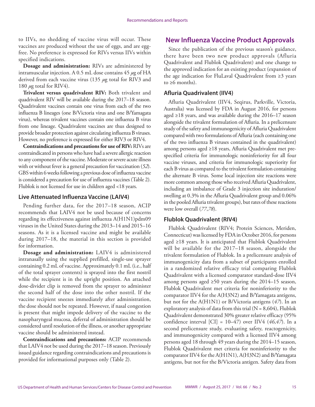to IIVs, no shedding of vaccine virus will occur. These vaccines are produced without the use of eggs, and are eggfree. No preference is expressed for RIVs versus IIVs within specified indications.

**Dosage and administration:** RIVs are administered by intramuscular injection. A 0.5 mL dose contains 45 *µ*g of HA derived from each vaccine virus (135 *µ*g total for RIV3 and 180  $\mu$ g total for RIV4).

**Trivalent versus quadrivalent RIV:** Both trivalent and quadrivalent RIV will be available during the 2017–18 season. Quadrivalent vaccines contain one virus from each of the two influenza B lineages (one B/Victoria virus and one B/Yamagata virus), whereas trivalent vaccines contain one influenza B virus from one lineage. Quadrivalent vaccines are thus designed to provide broader protection against circulating influenza B viruses. However, no preference is expressed for either RIV3 or RIV4.

**Contraindications and precautions for use of RIV:** RIVs are contraindicated in persons who have had a severe allergic reaction to any component of the vaccine. Moderate or severe acute illness with or without fever is a general precaution for vaccination (*52*). GBS within 6 weeks following a previous dose of influenza vaccine is considered a precaution for use of influenza vaccines (Table 2). Flublok is not licensed for use in children aged <18 years.

### **Live Attenuated Influenza Vaccine (LAIV4)**

Pending further data, for the 2017–18 season, ACIP recommends that LAIV4 not be used because of concerns regarding its effectiveness against influenza A(H1N1)pdm09 viruses in the United States during the 2013–14 and 2015–16 seasons. As it is a licensed vaccine and might be available during 2017–18, the material in this section is provided for information.

**Dosage and administration:** LAIV4 is administered intranasally using the supplied prefilled, single-use sprayer containing 0.2 mL of vaccine. Approximately 0.1 mL (i.e., half of the total sprayer contents) is sprayed into the first nostril while the recipient is in the upright position. An attached dose-divider clip is removed from the sprayer to administer the second half of the dose into the other nostril. If the vaccine recipient sneezes immediately after administration, the dose should not be repeated. However, if nasal congestion is present that might impede delivery of the vaccine to the nasopharyngeal mucosa, deferral of administration should be considered until resolution of the illness, or another appropriate vaccine should be administered instead.

**Contraindications and precautions:** ACIP recommends that LAIV4 not be used during the 2017–18 season. Previously issued guidance regarding contraindications and precautions is provided for informational purposes only (Table 2).

## **New Influenza Vaccine Product Approvals**

Since the publication of the previous season's guidance, there have been two new product approvals (Afluria Quadrivalent and Flublok Quadrivalent) and one change to the approved indication for an existing product (expansion of the age indication for FluLaval Quadrivalent from ≥3 years to ≥6 months).

## **Afluria Quadrivalent (IIV4)**

Afluria Quadrivalent (IIV4, Seqirus, Parkville, Victoria, Australia) was licensed by FDA in August 2016, for persons aged ≥18 years, and was available during the 2016–17 season alongside the trivalent formulation of Afluria. In a prelicensure study of the safety and immunogenicity of Afluria Quadrivalent compared with two formulations of Afluria (each containing one of the two influenza B viruses contained in the quadrivalent) among persons aged ≥18 years, Afluria Quadrivalent met prespecified criteria for immunologic noninferiority for all four vaccine viruses, and criteria for immunologic superiority for each B virus as compared to the trivalent formulation containing the alternate B virus. Some local injection site reactions were more common among those who received Afluria Quadrivalent, including an imbalance of Grade 3 injection site induration/ swelling at 0.3% in the Afluria Quadrivalent group and 0.06% in the pooled Afluria trivalent groups), but rates of these reactions were low overall (*77*,*78*).

## **Flublok Quadrivalent (RIV4)**

Flublok Quadrivalent (RIV4; Protein Sciences, Meriden, Connecticut) was licensed by FDA in October 2016, for persons aged ≥18 years. It is anticipated that Flublok Quadrivalent will be available for the 2017–18 season, alongside the trivalent formulation of Flublok. In a prelicensure analysis of immunogenicity data from a subset of participants enrolled in a randomized relative efficacy trial comparing Flublok Quadrivalent with a licensed comparator standard-dose IIV4 among persons aged ≥50 years during the 2014–15 season, Flublok Quadrivalent met criteria for noninferiority to the comparator IIV4 for the A(H3N2) and B/Yamagata antigens, but not for the A(H1N1) or B/Victoria antigens (*47*). In an exploratory analysis of data from this trial  $(N = 8,604)$ , Flublok Quadrivalent demonstrated 30% greater relative efficacy (95% confidence interval [CI] = 10–47) over IIV4 (*46*,*47*). In a second prelicensure study, evaluating safety, reactogenicity, and immunogenicity compared with a licensed IIV4 among persons aged 18 through 49 years during the 2014–15 season, Flublok Quadrivalent met criteria for noninferiority to the comparator IIV4 for the A(H1N1), A(H3N2) and B/Yamagata antigens, but not for the B/Victoria antigen. Safety data from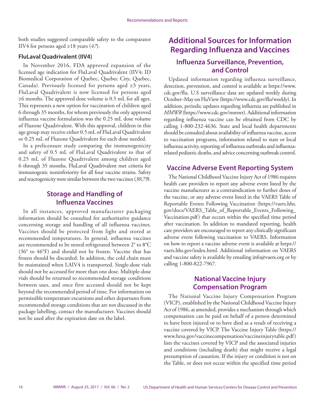<span id="page-17-0"></span>both studies suggested comparable safety to the comparator IIV4 for persons aged ≥18 years (*47*).

### **FluLaval Quadrivalent (IIV4)**

In November 2016, FDA approved expansion of the licensed age indication for FluLaval Quadrivalent (IIV4; ID Biomedical Corporation of Quebec, Quebec City, Quebec, Canada). Previously licensed for persons aged  $\geq 3$  years, FluLaval Quadrivalent is now licensed for persons aged ≥6 months. The approved dose volume is 0.5 mL for all ages. This represents a new option for vaccination of children aged 6 through 35 months, for whom previously the only approved influenza vaccine formulation was the 0.25 mL dose volume of Fluzone Quadrivalent. With this approval, children in this age group may receive either 0.5 mL of FluLaval Quadrivalent or 0.25 mL of Fluzone Quadrivalent for each dose needed.

In a prelicensure study comparing the immunogenicity and safety of 0.5 mL of FluLaval Quadrivalent to that of 0.25 mL of Fluzone Quadrivalent among children aged 6 through 35 months, FluLaval Quadrivalent met criteria for immunogenic noninferiority for all four vaccine strains. Safety and reactogenicity were similar between the two vaccines (*30*,*79*).

## **Storage and Handling of Influenza Vaccines**

In all instances, approved manufacturer packaging information should be consulted for authoritative guidance concerning storage and handling of all influenza vaccines. Vaccines should be protected from light and stored at recommended temperatures. In general, influenza vaccines are recommended to be stored refrigerated between 2° to 8°C (36° to 46°F) and should not be frozen. Vaccine that has frozen should be discarded. In addition, the cold chain must be maintained when LAIV4 is transported. Single-dose vials should not be accessed for more than one dose. Multiple-dose vials should be returned to recommended storage conditions between uses, and once first accessed should not be kept beyond the recommended period of time. For information on permissible temperature excursions and other departures from recommended storage conditions that are not discussed in the package labelling, contact the manufacturer. Vaccines should not be used after the expiration date on the label.

## **Additional Sources for Information Regarding Influenza and Vaccines**

## **Influenza Surveillance, Prevention, and Control**

Updated information regarding influenza surveillance, detection, prevention, and control is available at [https://www.](https://www.cdc.gov/flu) [cdc.gov/flu.](https://www.cdc.gov/flu) U.S surveillance data are updated weekly during October–May on FluView [\(https://www.cdc.gov/flu/weekly](https://www.cdc.gov/flu/weekly)). In addition, periodic updates regarding influenza are published in *MMWR* [\(https://www.cdc.gov/mmwr](https://www.cdc.gov/mmwr)). Additional information regarding influenza vaccine can be obtained from CDC by calling 1-800-232-4636. State and local health departments should be consulted about availability of influenza vaccine, access to vaccination programs, information related to state or local influenza activity, reporting of influenza outbreaks and influenzarelated pediatric deaths, and advice concerning outbreak control.

## **Vaccine Adverse Event Reporting System**

The National Childhood Vaccine Injury Act of 1986 requires health care providers to report any adverse event listed by the vaccine manufacturer as a contraindication to further doses of the vaccine, or any adverse event listed in the VAERS Table of Reportable Events Following Vaccination ([https://vaers.hhs.](https://vaers.hhs.gov/docs/VAERS_Table_of_Reportable_Events_Following_Vaccination.pdf) [gov/docs/VAERS\\_Table\\_of\\_Reportable\\_Events\\_Following\\_](https://vaers.hhs.gov/docs/VAERS_Table_of_Reportable_Events_Following_Vaccination.pdf) [Vaccination.pdf](https://vaers.hhs.gov/docs/VAERS_Table_of_Reportable_Events_Following_Vaccination.pdf)) that occurs within the specified time period after vaccination. In addition to mandated reporting, health care providers are encouraged to report any clinically significant adverse event following vaccination to VAERS. Information on how to report a vaccine adverse event is available at [https://](https://vaers.hhs.gov/index.html) [vaers.hhs.gov/index.html.](https://vaers.hhs.gov/index.html) Additional information on VAERS and vaccine safety is available by emailing [info@vaers.org](mailto:info@vaers.org) or by calling 1-800-822-7967.

## **National Vaccine Injury Compensation Program**

The National Vaccine Injury Compensation Program (VICP), established by the National Childhood Vaccine Injury Act of 1986, as amended, provides a mechanism through which compensation can be paid on behalf of a person determined to have been injured or to have died as a result of receiving a vaccine covered by VICP. The Vaccine Injury Table ([https://](https://www.hrsa.gov/vaccinecompensation/vaccineinjurytable.pdf) [www.hrsa.gov/vaccinecompensation/vaccineinjurytable.pdf](https://www.hrsa.gov/vaccinecompensation/vaccineinjurytable.pdf)) lists the vaccines covered by VICP and the associated injuries and conditions (including death) that might receive a legal presumption of causation. If the injury or condition is not on the Table, or does not occur within the specified time period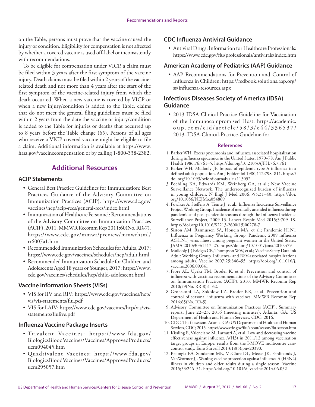<span id="page-18-0"></span>on the Table, persons must prove that the vaccine caused the injury or condition. Eligibility for compensation is not affected by whether a covered vaccine is used off-label or inconsistently with recommendations.

To be eligible for compensation under VICP, a claim must be filed within 3 years after the first symptom of the vaccine injury. Death claims must be filed within 2 years of the vaccinerelated death and not more than 4 years after the start of the first symptom of the vaccine-related injury from which the death occurred. When a new vaccine is covered by VICP or when a new injury/condition is added to the Table, claims that do not meet the general filing guidelines must be filed within 2 years from the date the vaccine or injury/condition is added to the Table for injuries or deaths that occurred up to 8 years before the Table change (*80*). Persons of all ages who receive a VICP-covered vaccine might be eligible to file a claim. Additional information is available at [https://www.](https://www.hrsa.gov/vaccinecompensation) [hrsa.gov/vaccinecompensation](https://www.hrsa.gov/vaccinecompensation) or by calling 1-800-338-2382.

## **Additional Resources**

### **ACIP Statements**

- General Best Practice Guidelines for Immunization: Best Practices Guidance of the Advisory Committee on Immunization Practices (ACIP). [https://www.cdc.gov/](https://www.cdc.gov/vaccines/hcp/acip-recs/general-recs/index.html) [vaccines/hcp/acip-recs/general-recs/index.html](https://www.cdc.gov/vaccines/hcp/acip-recs/general-recs/index.html)
- Immunization of Healthcare Personnel: Recommendations of the Advisory Committee on Immunization Practices (ACIP), 2011. MMWR Recomm Rep 2011;60(No. RR-7). [https://www.cdc.gov/mmwr/preview/mmwrhtml/](https://www.cdc.gov/mmwr/preview/mmwrhtml/rr6007a1.htm) [rr6007a1.htm](https://www.cdc.gov/mmwr/preview/mmwrhtml/rr6007a1.htm)
- Recommended Immunization Schedules for Adults, 2017: <https://www.cdc.gov/vaccines/schedules/hcp/adult.html>
- Recommended Immunization Schedule for Children and Adolescents Aged 18 years or Younger, 2017: [https://www.](https://www.cdc.gov/vaccines/schedules/hcp/child-adolescent.html) [cdc.gov/vaccines/schedules/hcp/child-adolescent.html](https://www.cdc.gov/vaccines/schedules/hcp/child-adolescent.html)

### **Vaccine Information Sheets (VISs)**

- VIS for IIV and RIV: [https://www.cdc.gov/vaccines/hcp/](https://www.cdc.gov/vaccines/hcp/vis/vis-statements/flu.pdf) [vis/vis-statements/flu.pdf](https://www.cdc.gov/vaccines/hcp/vis/vis-statements/flu.pdf)
- VIS for LAIV: [https://www.cdc.gov/vaccines/hcp/vis/vis](https://www.cdc.gov/vaccines/hcp/vis/vis-statements/flulive.pdf)[statements/flulive.pdf](https://www.cdc.gov/vaccines/hcp/vis/vis-statements/flulive.pdf)

### **Influenza Vaccine Package Inserts**

- Trivalent Vaccines: [https://www.fda.gov/](https://www.fda.gov/BiologicsBloodVaccines/Vaccines/ApprovedProducts/ucm094045.htm) [BiologicsBloodVaccines/Vaccines/ApprovedProducts/](https://www.fda.gov/BiologicsBloodVaccines/Vaccines/ApprovedProducts/ucm094045.htm) [ucm094045.htm](https://www.fda.gov/BiologicsBloodVaccines/Vaccines/ApprovedProducts/ucm094045.htm)
- Quadrivalent Vaccines: [https://www.fda.gov/](https://www.fda.gov/BiologicsBloodVaccines/Vaccines/ApprovedProducts/ucm295057.htm) [BiologicsBloodVaccines/Vaccines/ApprovedProducts/](https://www.fda.gov/BiologicsBloodVaccines/Vaccines/ApprovedProducts/ucm295057.htm) [ucm295057.htm](https://www.fda.gov/BiologicsBloodVaccines/Vaccines/ApprovedProducts/ucm295057.htm)

### **CDC Influenza Antiviral Guidance**

• Antiviral Drugs: Information for Healthcare Professionals: <https://www.cdc.gov/flu/professionals/antivirals/index.htm>

### **American Academy of Pediatrics (AAP) Guidance**

• AAP Recommendations for Prevention and Control of Influenza in Children: [https://redbook.solutions.aap.org/](https://redbook.solutions.aap.org/ss/influenza-resources.aspx) [ss/influenza-resources.aspx](https://redbook.solutions.aap.org/ss/influenza-resources.aspx)

### **Infectious Diseases Society of America (IDSA) Guidance**

• 2013 IDSA Clinical Practice Guideline for Vaccination of the Immunocompromised Host: [https://academic.](https://academic.oup.com/cid/article/58/3/e44/336537/ 2013-IDSA-Clinical-Practice-Guideline-for) oup. [com/cid/article/58/3/e44/336537/](https://academic.oup.com/cid/article/58/3/e44/336537/ 2013-IDSA-Clinical-Practice-Guideline-for) [2013–IDSA-Clinical-Practice-Guideline-for](https://academic.oup.com/cid/article/58/3/e44/336537/ 2013-IDSA-Clinical-Practice-Guideline-for)

### **References**

- 1. Barker WH. Excess pneumonia and influenza associated hospitalization during influenza epidemics in the United States, 1970–78. Am J Public Health 1986;76:761–5. <https://doi.org/10.2105/AJPH.76.7.761>
- 2. Barker WH, Mullooly JP. Impact of epidemic type A influenza in a defined adult population. Am J Epidemiol 1980;112:798–811. [https://](https://doi.org/10.1093/oxfordjournals.aje.a113052) [doi.org/10.1093/oxfordjournals.aje.a113052](https://doi.org/10.1093/oxfordjournals.aje.a113052)
- 3. Poehling KA, Edwards KM, Weinberg GA, et al.; New Vaccine Surveillance Network. The underrecognized burden of influenza in young children. N Engl J Med 2006;355:31–40. [https://doi.](https://doi.org/10.1056/NEJMoa054869) [org/10.1056/NEJMoa054869](https://doi.org/10.1056/NEJMoa054869)
- 4. Fowlkes A, Steffens A, Temte J, et al.; Influenza Incidence Surveillance Project Working Group. Incidence of medically attended influenza during pandemic and post-pandemic seasons through the Influenza Incidence Surveillance Project, 2009-13. Lancet Respir Med 2015;3:709–18. [https://doi.org/10.1016/S2213-2600\(15\)00278-7](https://doi.org/10.1016/S2213-2600(15)00278-7)
- 5. Siston AM, Rasmussen SA, Honein MA, et al.; Pandemic H1N1 Influenza in Pregnancy Working Group. Pandemic 2009 influenza A(H1N1) virus illness among pregnant women in the United States. JAMA 2010;303:1517–25. <https://doi.org/10.1001/jama.2010.479>
- 6. Mullooly JP, Bridges CB, Thompson WW, et al.; Vaccine Safety Datalink Adult Working Group. Influenza- and RSV-associated hospitalizations among adults. Vaccine 2007;25:846–55. [https://doi.org/10.1016/j.](https://doi.org/10.1016/j.vaccine.2006.09.041) [vaccine.2006.09.041](https://doi.org/10.1016/j.vaccine.2006.09.041)
- 7. Fiore AE, Uyeki TM, Broder K, et al. Prevention and control of influenza with vaccines: recommendations of the Advisory Committee on Immunization Practices (ACIP), 2010. MMWR Recomm Rep 2010;59(No. RR-8):1–62.
- 8. Grohskopf LA, Sokolow LZ, Broder KR, et al. Prevention and control of seasonal influenza with vaccines. MMWR Recomm Rep 2016;65(No. RR-5).
- 9. Advisory Committee on Immunization Practices (ACIP). Summary report: June 22–23, 2016 (meeting minutes). Atlanta, GA: US Department of Health and Human Services, CDC; 2016.
- 10. CDC. The flu season. Atlanta, GA: US Department of Health and Human Services, CDC; 2015.<https://www.cdc.gov/flu/about/season/flu-season.htm>
- 11. Kissling E, Valenciano M, Larrauri A, et al. Low and decreasing vaccine effectiveness against influenza A(H3) in 2011/12 among vaccination target groups in Europe: results from the I-MOVE multicentre casecontrol study. Euro Surveill 2013;18(5):pii=20390.
- 12. Belongia EA, Sundaram ME, McClure DL, Meece JK, Ferdinands J, VanWormer JJ. Waning vaccine protection against influenza A (H3N2) illness in children and older adults during a single season. Vaccine 2015;33:246–51.<https://doi.org/10.1016/j.vaccine.2014.06.052>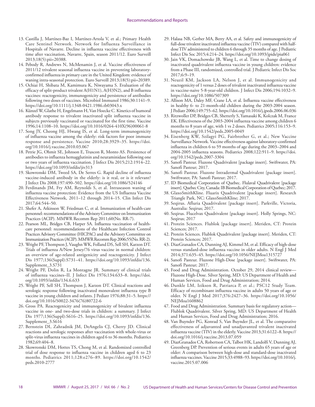- 13. Castilla J, Martínez-Baz I, Martínez-Artola V, et al.; Primary Health Care Sentinel Network. Network for Influenza Surveillance in Hospitals of Navarre. Decline in influenza vaccine effectiveness with time after vaccination, Navarre, Spain, season 2011/12. Euro Surveill 2013;18(5):pii=20388.
- 14. Pebody R, Andrews N, McMenamin J, et al. Vaccine effectiveness of 2011/12 trivalent seasonal influenza vaccine in preventing laboratoryconfirmed influenza in primary care in the United Kingdom: evidence of waning intra-seasonal protection. Euro Surveill 2013;18(5):pii=20389.
- 15. Ochiai H, Shibata M, Kamimura K, Niwayama S. Evaluation of the efficacy of split-product trivalent A(H1N1), A(H3N2), and B influenza vaccines: reactogenicity, immunogenicity and persistence of antibodies following two doses of vaccines. Microbiol Immunol 1986;30:1141–9. <https://doi.org/10.1111/j.1348-0421.1986.tb03043.x>
- 16. Künzel W, Glathe H, Engelmann H, Van Hoecke C. Kinetics of humoral antibody response to trivalent inactivated split influenza vaccine in subjects previously vaccinated or vaccinated for the first time. Vaccine 1996;14:1108–10. [https://doi.org/10.1016/0264-410X\(96\)00061-8](https://doi.org/10.1016/0264-410X(96)00061-8)
- 17. Song JY, Cheong HJ, Hwang IS, et al. Long-term immunogenicity of influenza vaccine among the elderly: risk factors for poor immune response and persistence. Vaccine 2010;28:3929–35. [https://doi.](https://doi.org/10.1016/j.vaccine.2010.03.067) [org/10.1016/j.vaccine.2010.03.067](https://doi.org/10.1016/j.vaccine.2010.03.067)
- 18. Petrie JG, Ohmit SE, Johnson E, Truscon R, Monto AS. Persistence of antibodies to influenza hemagglutinin and neuraminidase following one or two years of influenza vaccination. J Infect Dis 2015;212:1914–22. <https://doi.org/10.1093/infdis/jiv313>
- 19. Skowronski DM, Tweed SA, De Serres G. Rapid decline of influenza vaccine-induced antibody in the elderly: is it real, or is it relevant? J Infect Dis 2008;197:490–502. <https://doi.org/10.1086/524146>
- 20. Ferdinands JM, Fry AM, Reynolds S, et al. Intraseason waning of influenza vaccine protection: Evidence from the US Influenza Vaccine Effectiveness Network, 2011–12 through 2014–15. Clin Infect Dis 2017;64:544–50.
- 21. Shefer A, Atkinson W, Friedman C, et al. Immunization of health-care personnel: recommendations of the Advisory Committee on Immunization Practices (ACIP). MMWR Recomm Rep 2011;60(No. RR-7).
- 22. Pearson ML, Bridges CB, Harper SA. Influenza vaccination of healthcare personnel: recommendations of the Healthcare Infection Control Practices Advisory Committee (HICPAC) and the Advisory Committee on Immunization Practices (ACIP). MMWR Recomm Rep 2006;55(No. RR-2).
- 23. Wright PF, Thompson J, Vaughn WK, Folland DS, Sell SH, Karzon DT. Trials of influenza A/New Jersey/76 virus vaccine in normal children: an overview of age-related antigenicity and reactogenicity. J Infect Dis 1977;136(Suppl):S731–41. [https://doi.org/10.1093/infdis/136.](https://doi.org/10.1093/infdis/136.Supplement_3.S731) [Supplement\\_3.S731](https://doi.org/10.1093/infdis/136.Supplement_3.S731)
- 24. Wright PF, Dolin R, La Montagne JR. Summary of clinical trials of influenza vaccines–II. J Infect Dis 1976;134:633–8. [https://doi.](https://doi.org/10.1093/infdis/134.6.633) [org/10.1093/infdis/134.6.633](https://doi.org/10.1093/infdis/134.6.633)
- 25. Wright PF, Sell SH, Thompson J, Karzon DT. Clinical reactions and serologic response following inactivated monovalent influenza type B vaccine in young children and infants. J Pediatr 1976;88:31–5. [https://](https://doi.org/10.1016/S0022-3476(76)80722-6) [doi.org/10.1016/S0022-3476\(76\)80722-6](https://doi.org/10.1016/S0022-3476(76)80722-6)
- 26. Gross PA. Reactogenicity and immunogenicity of bivalent influenza vaccine in one- and two-dose trials in children: a summary. J Infect Dis 1977;136(Suppl):S616–25. [https://doi.org/10.1093/infdis/136.](https://doi.org/10.1093/infdis/136.Supplement_3.S616) [Supplement\\_3.S616](https://doi.org/10.1093/infdis/136.Supplement_3.S616)
- 27. Bernstein DI, Zahradnik JM, DeAngelis CJ, Cherry JD. Clinical reactions and serologic responses after vaccination with whole-virus or split-virus influenza vaccines in children aged 6 to 36 months. Pediatrics 1982;69:404–8.
- 28. Skowronski DM, Hottes TS, Chong M, et al. Randomized controlled trial of dose response to influenza vaccine in children aged 6 to 23 months. Pediatrics 2011;128:e276–89. [https://doi.org/10.1542/](https://doi.org/10.1542/peds.2010-2777) [peds.2010-2777](https://doi.org/10.1542/peds.2010-2777)
- 29. Halasa NB, Gerber MA, Berry AA, et al. Safety and immunogenicity of full-dose trivalent inactivated influenza vaccine (TIV) compared with halfdose TIV administered to children 6 through 35 months of age. J Pediatric Infect Dis Soc 2015;4:214–24.<https://doi.org/10.1093/jpids/piu061>
- 30. Jain VK, Domachowske JB, Wang L, et al. Time to change dosing of inactivated quadrivalent influenza vaccine in young children: evidence from a Phase III, randomized, controlled trial. J Pediatric Infect Dis Soc 2017;6:9–19.
- 31. Neuzil KM, Jackson LA, Nelson J, et al. Immunogenicity and reactogenicity of 1 versus 2 doses of trivalent inactivated influenza vaccine in vaccine-naive 5-8-year-old children. J Infect Dis 2006;194:1032–9. <https://doi.org/10.1086/507309>
- 32. Allison MA, Daley MF, Crane LA, et al. Influenza vaccine effectiveness in healthy 6- to 21-month-old children during the 2003-2004 season. J Pediatr 2006;149:755–62.<https://doi.org/10.1016/j.jpeds.2006.06.036>
- 33. Ritzwoller DP, Bridges CB, Shetterly S, Yamasaki K, Kolczak M, France EK. Effectiveness of the 2003-2004 influenza vaccine among children 6 months to 8 years of age, with 1 vs 2 doses. Pediatrics 2005;116:153–9. <https://doi.org/10.1542/peds.2005-0049>
- 34. Eisenberg KW, Szilagyi PG, Fairbrother G, et al.; New Vaccine Surveillance Network. Vaccine effectiveness against laboratory-confirmed influenza in children 6 to 59 months of age during the 2003–2004 and 2004-2005 influenza seasons. Pediatrics 2008;122:911–9. [https://doi.](https://doi.org/10.1542/peds.2007-3304) [org/10.1542/peds.2007-3304](https://doi.org/10.1542/peds.2007-3304)
- 35. Sanofi Pasteur. Fluzone Quadrivalent [package insert]. Swiftwater, PA: Sanofi Pasteur; 2017.
- 36. Sanofi Pasteur. Fluzone Intradermal Quadrivalent [package insert]. Swiftwater, PA: Sanofi Pasteur; 2017.
- 37. ID Biomedical Corporation of Quebec. Flulaval Quadrivalent [package insert]. Quebec City, Canada: IB Biomedical Corporation of Quebec; 2017.
- 38. GlaxoSmithKline. Fluarix Quadrivalent [package insert]. Research Triangle Park, NC: GlaxoSmithKline; 2017.
- 39. Seqirus. Afluria Quadrivalent [package insert]. Parkville, Victoria, Australia: Seqirus; 2017.
- 40. Seqirus. Flucelvax Quadrivalent [package insert]. Holly Springs, NC: Seqirus; 2017
- 41. Protein Sciences. Flublok [package insert]. Meriden, CT: Protein Sciences; 2017.
- 42. Protein Sciences. Flublok Quadrivalent [package insert]. Meriden, CT: Protein Sciences; 2017.
- 43. DiazGranados CA, Dunning AJ, Kimmel M, et al. Efficacy of high-dose versus standard-dose influenza vaccine in older adults. N Engl J Med 2014;371:635–45. <https://doi.org/10.1056/NEJMoa1315727>
- 44. Sanofi Pasteur. Fluzone High-Dose [package insert]. Swiftwater, PA: Sanofi Pasteur; 2017.
- 45. Food and Drug Administration. October 29, 2014 clinical review— Fluzone High-Dose. Silver Spring, MD: US Department of Health and Human Services, Food and Drug Administration; 2014.
- 46. Dunkle LM, Izikson R, Patriarca P, et al.; PSC12 Study Team. Efficacy of recombinant influenza vaccine in adults 50 years of age or older. N Engl J Med 2017;376:2427–36. [https://doi.org/10.1056/](https://doi.org/10.1056/NEJMoa1608862) [NEJMoa1608862](https://doi.org/10.1056/NEJMoa1608862)
- 47. Food and Drug Administration. Summary basis for regulatory action— Flublok Quadrivalent. Silver Spring, MD: US Department of Health and Human Services, Food and Drug Administration; 2016.
- 48. Van Buynder PG, Konrad S, Van Buynder JL, et al. The comparative effectiveness of adjuvanted and unadjuvanted trivalent inactivated influenza vaccine (TIV) in the elderly. Vaccine 2013;31:6122–8. [https://](https://doi.org/10.1016/j.vaccine.2013.07.059) [doi.org/10.1016/j.vaccine.2013.07.059](https://doi.org/10.1016/j.vaccine.2013.07.059)
- 49. DiazGranados CA, Robertson CA, Talbot HK, Landolfi V, Dunning AJ, Greenberg DP. Prevention of serious events in adults 65 years of age or older: A comparison between high-dose and standard-dose inactivated influenza vaccines. Vaccine 2015;33:4988–93. [https://doi.org/10.1016/j.](https://doi.org/10.1016/j.vaccine.2015.07.006) [vaccine.2015.07.006](https://doi.org/10.1016/j.vaccine.2015.07.006)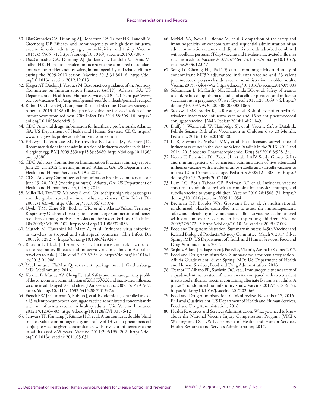- 50. DiazGranados CA, Dunning AJ, Robertson CA, Talbot HK, Landolfi V, Greenberg DP. Efficacy and immunogenicity of high-dose influenza vaccine in older adults by age, comorbidities, and frailty. Vaccine 2015;33:4565–71. <https://doi.org/10.1016/j.vaccine.2015.07.003>
- 51. DiazGranados CA, Dunning AJ, Jordanov E, Landolfi V, Denis M, Talbot HK. High-dose trivalent influenza vaccine compared to standard dose vaccine in elderly adults: safety, immunogenicity and relative efficacy during the 2009-2010 season. Vaccine 2013;31:861–6. [https://doi.](https://doi.org/10.1016/j.vaccine.2012.12.013) [org/10.1016/j.vaccine.2012.12.013](https://doi.org/10.1016/j.vaccine.2012.12.013)
- 52. Kroger AT, Duchin J, Vázquez M. Best practices guidance of the Advisory Committee on Immunization Practices (ACIP). Atlanta, GA: US Department of Health and Human Services, CDC; 2017. [https://www.](https://www.cdc.gov/vaccines/hcp/acip-recs/general-recs/downloads/general-recs.pdf) [cdc.gov/vaccines/hcp/acip-recs/general-recs/downloads/general-recs.pdf](https://www.cdc.gov/vaccines/hcp/acip-recs/general-recs/downloads/general-recs.pdf)
- 53. Rubin LG, Levin MJ, Ljungman P, et al.; Infectious Diseases Society of America. 2013 IDSA clinical practice guideline for vaccination of the immunocompromised host. Clin Infect Dis 2014;58:309–18. [https://](https://doi.org/10.1093/cid/cit816) [doi.org/10.1093/cid/cit816](https://doi.org/10.1093/cid/cit816)
- 54. CDC. Antiviral drugs: information for healthcare professionals. Atlanta, GA: US Department of Health and Human Services, CDC. [https://](https://www.cdc.gov/flu/professionals/antivirals/index.htm) [www.cdc.gov/flu/professionals/antivirals/index.htm](https://www.cdc.gov/flu/professionals/antivirals/index.htm)
- 55. Erlewyn-Lajeunesse M, Brathwaite N, Lucas JS, Warner JO. Recommendations for the administration of influenza vaccine in children allergic to egg. BMJ 2009;339(sep15 3):b3680. [https://doi.org/10.1136/](https://doi.org/10.1136/bmj.b3680) [bmj.b3680](https://doi.org/10.1136/bmj.b3680)
- 56. CDC. Advisory Committee on Immunization Practices summary report: June 20–21, 2012 (meeting minutes). Atlanta, GA: US Department of Health and Human Services, CDC; 2012.
- 57. CDC. Advisory Committee on Immunization Practices summary report: June 19–20, 2013 (meeting minutes). Atlanta, GA: US Department of Health and Human Services, CDC; 2013.
- 58. Miller JM, Tam TW, Maloney S, et al. Cruise ships: high-risk passengers and the global spread of new influenza viruses. Clin Infect Dis 2000;31:433–8. <https://doi.org/10.1086/313974>
- 59. Uyeki TM, Zane SB, Bodnar UR, et al.; Alaska/Yukon Territory Respiratory Outbreak Investigation Team. Large summertime influenza A outbreak among tourists in Alaska and the Yukon Territory. Clin Infect Dis 2003;36:1095–102. <https://doi.org/10.1086/374053>
- 60. Mutsch M, Tavernini M, Marx A, et al. Influenza virus infection in travelers to tropical and subtropical countries. Clin Infect Dis 2005;40:1282–7.<https://doi.org/10.1086/429243>
- 61. Ratnam I, Black J, Leder K, et al. Incidence and risk factors for acute respiratory illnesses and influenza virus infections in Australian travellers to Asia. J Clin Virol 2013;57:54–8. [https://doi.org/10.1016/j.](https://doi.org/10.1016/j.jcv.2013.01.008) [jcv.2013.01.008](https://doi.org/10.1016/j.jcv.2013.01.008)
- 62. MedImmune. FluMist Quadrivalent [package insert]. Gaithersburg, MD: MedImmune; 2016.
- 63. Kerzner B, Murray AV, Cheng E, et al. Safety and immunogenicity profile of the concomitant administration of ZOSTAVAX and inactivated influenza vaccine in adults aged 50 and older. J Am Geriatr Soc 2007;55:1499–507. <https://doi.org/10.1111/j.1532-5415.2007.01397.x>
- 64. Frenck RW Jr, Gurtman A, Rubino J, et al. Randomized, controlled trial of a 13-valent pneumococcal conjugate vaccine administered concomitantly with an influenza vaccine in healthy adults. Clin Vaccine Immunol 2012;19:1296–303. <https://doi.org/10.1128/CVI.00176-12>
- 65. Schwarz TF, Flamaing J, Rümke HC, et al. A randomized, double-blind trial to evaluate immunogenicity and safety of 13-valent pneumococcal conjugate vaccine given concomitantly with trivalent influenza vaccine in adults aged ≥65 years. Vaccine 2011;29:5195–202. [https://doi.](https://doi.org/10.1016/j.vaccine.2011.05.031) [org/10.1016/j.vaccine.2011.05.031](https://doi.org/10.1016/j.vaccine.2011.05.031)
- 66. McNeil SA, Noya F, Dionne M, et al. Comparison of the safety and immunogenicity of concomitant and sequential administration of an adult formulation tetanus and diphtheria toxoids adsorbed combined with acellular pertussis (Tdap) vaccine and trivalent inactivated influenza vaccine in adults. Vaccine 2007;25:3464–74. [https://doi.org/10.1016/j.](https://doi.org/10.1016/j.vaccine.2006.12.047) [vaccine.2006.12.047](https://doi.org/10.1016/j.vaccine.2006.12.047)
- 67. Song JY, Cheong HJ, Tsai TF, et al. Immunogenicity and safety of concomitant MF59-adjuvanted influenza vaccine and 23-valent pneumococcal polysaccharide vaccine administration in older adults. Vaccine 2015;33:4647–52.<https://doi.org/10.1016/j.vaccine.2015.05.003>
- 68. Sukumaran L, McCarthy NL, Kharbanda EO, et al. Safety of tetanus toxoid, reduced diphtheria toxoid, and acellular pertussis and influenza vaccinations in pregnancy. Obstet Gynecol 2015;126:1069–74. [https://](https://doi.org/10.1097/AOG.0000000000001066) [doi.org/10.1097/AOG.0000000000001066](https://doi.org/10.1097/AOG.0000000000001066)
- 69. Stockwell MS, Broder K, LaRussa P, et al. Risk of fever after pediatric trivalent inactivated influenza vaccine and 13-valent pneumococcal conjugate vaccine. JAMA Pediatr 2014;168:211–9.
- 70. Duffy J, Weintraub W, Hambidge SJ, et al; Vaccine Safety Datalink. Febrile Seizure Risk after Vaccination in Children 6 to 23 Months. Pediatrics 2016; 138: e20160320.
- 71. Li R, Stewart B, McNeil MM, et al. Post licensure surveillance of influenza vaccines in the Vaccine Safety Datalink in the 2013–2014 and 2014–2015 seasons. Pharmacoepidemiol Drug Saf 2016;8:928–34.
- 72. Nolan T, Bernstein DI, Block SL, et al.; LAIV Study Group. Safety and immunogenicity of concurrent administration of live attenuated influenza vaccine with measles-mumps-rubella and varicella vaccines to infants 12 to 15 months of age. Pediatrics 2008;121:508–16. [https://](https://doi.org/10.1542/peds.2007-1064) [doi.org/10.1542/peds.2007-1064](https://doi.org/10.1542/peds.2007-1064)
- 73. Lum LC, Borja-Tabora CF, Breiman RF, et al. Influenza vaccine concurrently administered with a combination measles, mumps, and rubella vaccine to young children. Vaccine 2010;28:1566–74. [https://](https://doi.org/10.1016/j.vaccine.2009.11.054) [doi.org/10.1016/j.vaccine.2009.11.054](https://doi.org/10.1016/j.vaccine.2009.11.054)
- 74. Breiman RF, Brooks WA, Goswami D, et al. A multinational, randomized, placebo-controlled trial to assess the immunogenicity, safety, and tolerability of live attenuated influenza vaccine coadministered with oral poliovirus vaccine in healthy young children. Vaccine 2009;27:5472–9.<https://doi.org/10.1016/j.vaccine.2009.07.002>
- 75. Food and Drug Administration. Summary minutes: 145th Vaccines and Related Biological Products Advisory Committee, March 9, 2017. Silver Spring, MD: US Department of Health and Human Services, Food and Drug Administration; 2017.
- 76. Seqirus. Afluria [package insert]. Parkville, Victoria, Australia: Seqirus; 2017.
- 77. Food and Drug Administration. Summary basis for regulatory action– Afluria Quadrivalent. Silver Spring, MD: US Department of Health and Human Services, Food and Drug Administration; 2016.
- 78. Treanor JT, Albano FR, Sawlwin DC, et al. Immunogenicity and safety of a quadrivalent inactivated influenza vaccine compared with two trivalent inactivated influenza vaccines containing alternate B strains in adults: A phase 3, randomized noninferiority study. Vaccine 2017;35:1856–64. <https://doi.org/10.1016/j.vaccine.2017.02.066>
- 79. Food and Drug Administration. Clinical review. November 17, 2016– FluLaval Quadrivalent. US Department of Health and Human Services, Food and Drug Administration; 2016.
- 80. Health Resources and Services Administration. What you need to know about the National Vaccine Injury Compensation Program (VICP). Washington, DC: US Department of Health and Human Services. Health Resources and Services Administration; 2017.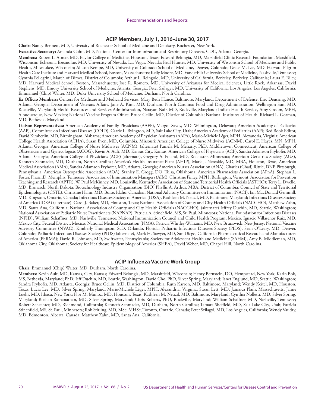#### **ACIP Members, July 1, 2016–June 30, 2017**

**Chair:** Nancy Bennett, MD, University of Rochester School of Medicine and Dentistry, Rochester, New York.

**Executive Secretary:** Amanda Cohn, MD, National Center for Immunization and Respiratory Diseases, CDC, Atlanta, Georgia.

**Members:** Robert L. Atmar, MD, Baylor College of Medicine, Houston, Texas; Edward Belongia, MD, Marshfield Clinic Research Foundation, Marshfield, Wisconsin; Echezona Ezeanolue, MD, University of Nevada, Las Vegas, Nevada; Paul Hunter, MD, University of Wisconsin School of Medicine and Public Health, Milwaukee, Wisconsin; Allison Kempe, MD, University of Colorado School of Medicine, Denver, Colorado; Grace M. Lee, MD, Harvard Pilgrim Health Care Institute and Harvard Medical School, Boston, Massachusetts; Kelly Moore, MD, Vanderbilt University School of Medicine, Nashville, Tennessee; Cynthia Pellegrini, March of Dimes, District of Columbia; Arthur L. Reingold, MD, University of California, Berkeley, Berkeley, California; Laura E. Riley, MD, Harvard Medical School, Boston, Massachusetts; José R. Romero, MD, University of Arkansas for Medical Sciences, Little Rock, Arkansas; David Stephens, MD, Emory University School of Medicine, Atlanta, Georgia; Peter Szilagyi, MD, University of California, Los Angeles, Los Angeles, California; Emmanuel (Chip) Walter, MD, Duke University School of Medicine, Durham, North Carolina.

**Ex Officio Members:** Centers for Medicare and Medicaid Services, Mary Beth Hance, Baltimore, Maryland; Department of Defense, Eric Deussing, MD, Atlanta, Georgia; Department of Veterans Affairs, Jane A. Kim, MD, Durham, North Carolina; Food and Drug Administration, Wellington Sun, MD, Rockville, Maryland; Health Resources and Services Administration, Narayan Nair, MD, Rockville, Maryland; Indian Health Service, Amy Groom, MPH, Albuquerque, New Mexico; National Vaccine Program Office, Bruce Gellin, MD, District of Columbia; National Institutes of Health, Richard L. Gorman, MD, Bethesda, Maryland.

**Liaison Representatives:** American Academy of Family Physicians (AAFP), Margot Savoy, MD, Wilmington, Delaware; American Academy of Pediatrics (AAP), Committee on Infectious Diseases (COID), Carrie L. Byington, MD, Salt Lake City, Utah; American Academy of Pediatrics (AAP); Red Book Editor, David Kimberlin, MD, Birmingham, Alabama; American Academy of Physician Assistants (AAPA), Marie-Michèle Léger, MPH, Alexandria, Virginia; American College Health Association (ACHA), Susan Even, MD, Columbia, Missouri; American College of Nurse Midwives (ACNM), Carol E. Hayes, MN, MPH, Atlanta, Georgia; American College of Nurse Midwives (ACNM), (alternate) Pamela M. Meharry, PhD, Middletown, Connecticut; American College of Obstetricians and Gynecologists (ACOG), Kevin A. Ault, MD, Kansas City, Kansas; American College of Physicians (ACP), Sandra Adamson Fryhofer, MD, Atlanta, Georgia; American College of Physicians (ACP) (alternate), Gregory A. Poland, MD, Rochester, Minnesota; American Geriatrics Society (AGS), Kenneth Schmader, MD, Durham, North Carolina; America's Health Insurance Plans (AHIP), Mark J. Netoskie, MD, MBA, Houston, Texas; American Medical Association (AMA), Sandra Adamson Fryhofer, MD, Atlanta, Georgia; American Nurses Association (ANA), Charles (Chad) Rittle, DNP, Pittsburgh, Pennsylvania; American Osteopathic Association (AOA), Stanley E. Grogg, DO, Tulsa, Oklahoma; American Pharmacists Association (APhA), Stephan L. Foster, PharmD, Memphis, Tennessee; Association of Immunization Managers (AIM), Christine Finley, MPH, Burlington, Vermont; Association for Prevention Teaching and Research (APTR), W. Paul McKinney, MD, Louisville, Kentucky; Association of State and Territorial Health Officials (ASTHO); Terry L. Dwelle, MD, Bismarck, North Dakota; Biotechnology Industry Organization (BIO) Phyllis A. Arthur, MBA, District of Columbia; Council of State and Territorial Epidemiologists (CSTE), Christine Hahn, MD, Boise, Idaho; Canadian National Advisory Committee on Immunization (NACI), Ian MacDonald Gemmill, MD, Kingston, Ontario, Canada; Infectious Diseases Society of America (IDSA), Kathleen M. Neuzil, MD, Baltimore, Maryland; Infectious Diseases Society of America (IDSA) (alternate), Carol J. Baker, MD, Houston, Texas; National Association of County and City Health Officials (NACCHO), Matthew Zahn, MD, Santa Ana, California; National Association of County and City Health Officials (NACCHO), (alternate) Jeffrey Duchin, MD, Seattle, Washington; National Association of Pediatric Nurse Practitioners (NAPNAP), Patricia A. Stinchfield, MS, St. Paul, Minnesota; National Foundation for Infectious Diseases (NFID), William Schaffner, MD, Nashville, Tennessee; National Immunization Council and Child Health Program, Mexico, Ignacio Villaseñor Ruiz, MD, Mexico City, Federal District, Mexico; National Medical Association (NMA), Patricia Whitley-Williams, MD, New Brunswick, New Jersey; National Vaccine Advisory Committee (NVAC), Kimberly Thompson, ScD, Orlando, Florida; Pediatric Infectious Diseases Society (PIDS), Sean O'Leary, MD, Denver, Colorado; Pediatric Infectious Diseases Society (PIDS) (alternate), Mark H. Sawyer, MD, San Diego, California; Pharmaceutical Research and Manufacturers of America (PhRMA); David R. Johnson, MD, Swiftwater, Pennsylvania; Society for Adolescent Health and Medicine (SAHM), Amy B. Middleman, MD, Oklahoma City, Oklahoma; Society for Healthcare Epidemiology of America (SHEA), David Weber, MD, Chapel Hill, North Carolina.

### **ACIP Influenza Vaccine Work Group**

**Chair:** Emmanuel (Chip) Walter, MD, Durham, North Carolina.

**Members:** Kevin Ault, MD, Kansas, City, Kansas; Edward Belongia, MD, Marshfield, Wisconsin; Henry Bernstein, DO, Hempstead, New York; Karin Bok, MS, Bethesda, Maryland; PhD; Jeff Duchin, MD, Seattle, Washington; David Cho, PhD, Silver Spring, Maryland; Janet Englund, MD, Seattle, Washington; Sandra Fryhofer, MD, Atlanta, Georgia; Bruce Gellin, MD, District of Columbia; Ruth Karron, MD, Baltimore, Maryland; Wendy Keitel, MD, Houston, Texas; Lucia Lee, MD, Silver Spring, Maryland; Marie‐Michèle Léger, MPH, Alexandria, Virginia; Susan Lett, MD, Jamaica Plain, Massachusetts; Jamie Loehr, MD, Ithaca, New York; Flor M. Munoz, MD, Houston, Texas; Kathleen M. Neuzil, MD, Baltimore, Maryland; Cynthia Nolletti, MD, Silver Spring, Maryland; Roshan Ramanathan, MD, Silver Spring, Maryland; Chris Roberts, PhD, Rockville, Maryland; William Schaffner, MD, Nashville, Tennessee; Robert Schechter, MD, Richmond, California; Kenneth Schmader, MD, Durham, North Carolina; Tamara Sheffield, MD, Salt Lake City, Utah; Patricia Stinchfield, MS, St. Paul, Minnesota; Rob Stirling, MD, MSc, MHSc, Toronto, Ontario, Canada; Peter Szilagyi, MD, Los Angeles, California; Wendy Vaudry, MD, Edmonton, Alberta, Canada; Matthew Zahn, MD, Santa Ana, California.